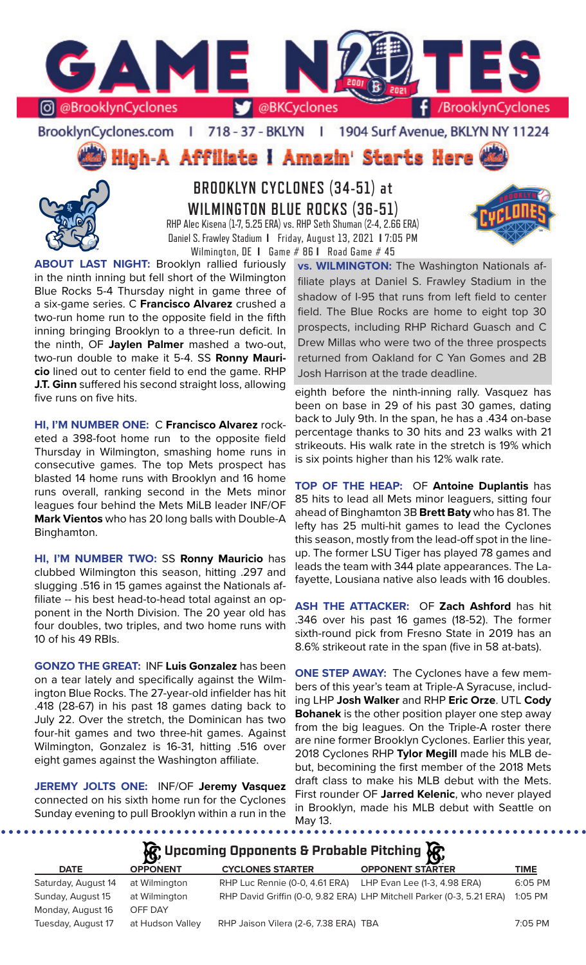

### BrooklynCyclones.com | 718 - 37 - BKLYN | 1904 Surf Avenue, BKLYN NY 11224

**High-A Affiliate I Amazin' Starts Here** 



**BROOKLYN CYCLONES (34-51) at WILMINGTON BLUE ROCKS (36-51)** RHP Alec Kisena (1-7, 5.25 ERA) vs. RHP Seth Shuman (2-4, 2.66 ERA)

Daniel S. Frawley Stadium **I** Friday, August 13, 2021 **I** 7:05 PM Wilmington, DE **I** Game # 86 **I** Road Game # 45

**ABOUT LAST NIGHT:** Brooklyn rallied furiously in the ninth inning but fell short of the Wilmington Blue Rocks 5-4 Thursday night in game three of a six-game series. C **Francisco Alvarez** crushed a two-run home run to the opposite field in the fifth inning bringing Brooklyn to a three-run deficit. In the ninth, OF **Jaylen Palmer** mashed a two-out, two-run double to make it 5-4. SS **Ronny Mauricio** lined out to center field to end the game. RHP **J.T. Ginn** suffered his second straight loss, allowing five runs on five hits.

**HI, I'M NUMBER ONE:** C **Francisco Alvarez** rocketed a 398-foot home run to the opposite field Thursday in Wilmington, smashing home runs in consecutive games. The top Mets prospect has blasted 14 home runs with Brooklyn and 16 home runs overall, ranking second in the Mets minor leagues four behind the Mets MiLB leader INF/OF **Mark Vientos** who has 20 long balls with Double-A Binghamton.

**HI, I'M NUMBER TWO:** SS **Ronny Mauricio** has clubbed Wilmington this season, hitting .297 and slugging .516 in 15 games against the Nationals affiliate -- his best head-to-head total against an opponent in the North Division. The 20 year old has four doubles, two triples, and two home runs with 10 of his 49 RBIs.

**GONZO THE GREAT:** INF **Luis Gonzalez** has been on a tear lately and specifically against the Wilmington Blue Rocks. The 27-year-old infielder has hit .418 (28-67) in his past 18 games dating back to July 22. Over the stretch, the Dominican has two four-hit games and two three-hit games. Against Wilmington, Gonzalez is 16-31, hitting .516 over eight games against the Washington affiliate.

**JEREMY JOLTS ONE:** INF/OF **Jeremy Vasquez**  connected on his sixth home run for the Cyclones Sunday evening to pull Brooklyn within a run in the

**vs. WILMINGTON:** The Washington Nationals affiliate plays at Daniel S. Frawley Stadium in the shadow of I-95 that runs from left field to center field. The Blue Rocks are home to eight top 30 prospects, including RHP Richard Guasch and C Drew Millas who were two of the three prospects returned from Oakland for C Yan Gomes and 2B Josh Harrison at the trade deadline.

eighth before the ninth-inning rally. Vasquez has been on base in 29 of his past 30 games, dating back to July 9th. In the span, he has a .434 on-base percentage thanks to 30 hits and 23 walks with 21 strikeouts. His walk rate in the stretch is 19% which is six points higher than his 12% walk rate.

**TOP OF THE HEAP:** OF **Antoine Duplantis** has 85 hits to lead all Mets minor leaguers, sitting four ahead of Binghamton 3B **Brett Baty** who has 81. The lefty has 25 multi-hit games to lead the Cyclones this season, mostly from the lead-off spot in the lineup. The former LSU Tiger has played 78 games and leads the team with 344 plate appearances. The Lafayette, Lousiana native also leads with 16 doubles.

**ASH THE ATTACKER:** OF **Zach Ashford** has hit .346 over his past 16 games (18-52). The former sixth-round pick from Fresno State in 2019 has an 8.6% strikeout rate in the span (five in 58 at-bats).

**ONE STEP AWAY:** The Cyclones have a few members of this year's team at Triple-A Syracuse, including LHP **Josh Walker** and RHP **Eric Orze**. UTL **Cody Bohanek** is the other position player one step away from the big leagues. On the Triple-A roster there are nine former Brooklyn Cyclones. Earlier this year, 2018 Cyclones RHP **Tylor Megill** made his MLB debut, becomining the first member of the 2018 Mets draft class to make his MLB debut with the Mets. First rounder OF **Jarred Kelenic**, who never played in Brooklyn, made his MLB debut with Seattle on May 13.

| $\mathcal{R}$ Upcoming Opponents & Probable Pitching $\mathcal{R}$ |                  |                                       |                                                                       |             |  |  |  |  |  |
|--------------------------------------------------------------------|------------------|---------------------------------------|-----------------------------------------------------------------------|-------------|--|--|--|--|--|
| <b>DATE</b>                                                        | <b>OPPONENT</b>  | <b>CYCLONES STARTER</b>               | <b>OPPONENT STARTER</b>                                               | <b>TIME</b> |  |  |  |  |  |
| Saturday, August 14                                                | at Wilmington    | RHP Luc Rennie (0-0, 4.61 ERA)        | LHP Evan Lee (1-3, 4.98 ERA)                                          | 6:05 PM     |  |  |  |  |  |
| Sunday, August 15                                                  | at Wilmington    |                                       | RHP David Griffin (0-0, 9.82 ERA) LHP Mitchell Parker (0-3, 5.21 ERA) | 1:05 PM     |  |  |  |  |  |
| Monday, August 16                                                  | OFF DAY          |                                       |                                                                       |             |  |  |  |  |  |
| Tuesday, August 17                                                 | at Hudson Valley | RHP Jaison Vilera (2-6, 7.38 ERA) TBA |                                                                       | 7:05 PM     |  |  |  |  |  |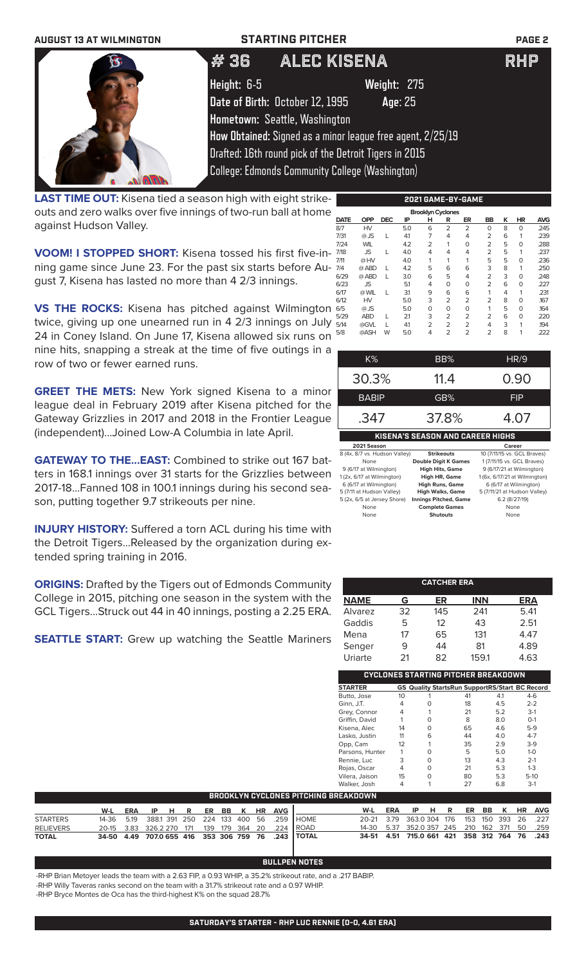**AUGUST 13 AT WILMINGTON STARTING PITCHER PAGE 2 Height:** 6-5 **Weight:** 275 **Date of Birth:** October 12, 1995 **Age**: 25 **Hometown:** Seattle, Washington **How Obtained:** Signed as a minor league free agent, 2/25/19 Drafted: 16th round pick of the Detroit Tigers in 2015 College: Edmonds Community College (Washington)  $#$  36  $A$  Lec Kisena

**LAST TIME OUT:** Kisena tied a season high with eight strikeouts and zero walks over five innings of two-run ball at home against Hudson Valley.

**VOOM! I STOPPED SHORT:** Kisena tossed his first five-inning game since June 23. For the past six starts before August 7, Kisena has lasted no more than 4 2/3 innings.

**VS THE ROCKS:** Kisena has pitched against Wilmington twice, giving up one unearned run in 4 2/3 innings on July 24 in Coney Island. On June 17, Kisena allowed six runs on nine hits, snapping a streak at the time of five outings in a row of two or fewer earned runs.

**GREET THE METS:** New York signed Kisena to a minor league deal in February 2019 after Kisena pitched for the Gateway Grizzlies in 2017 and 2018 in the Frontier League (independent)...Joined Low-A Columbia in late April.

**GATEWAY TO THE...EAST:** Combined to strike out 167 batters in 168.1 innings over 31 starts for the Grizzlies between 2017-18...Fanned 108 in 100.1 innings during his second season, putting together 9.7 strikeouts per nine.

**INJURY HISTORY:** Suffered a torn ACL during his time with the Detroit Tigers...Released by the organization during extended spring training in 2016.

**ORIGINS:** Drafted by the Tigers out of Edmonds Community College in 2015, pitching one season in the system with the GCL Tigers...Struck out 44 in 40 innings, posting a 2.25 ERA.

**SEATTLE START:** Grew up watching the Seattle Mariners

| <b>Brooklyn Cyclones</b> |            |            |     |                |                |                |                |   |           |            |  |
|--------------------------|------------|------------|-----|----------------|----------------|----------------|----------------|---|-----------|------------|--|
| <b>DATE</b>              | <b>OPP</b> | <b>DEC</b> | ΙP  | н              | R              | ER             | BB             | ĸ | <b>HR</b> | <b>AVG</b> |  |
| 8/7                      | HV         |            | 5.0 | 6              | $\overline{2}$ | $\overline{2}$ | $\Omega$       | 8 | 0         | .245       |  |
| 7/31                     | $@$ JS     |            | 4.1 | 7              | 4              | 4              | 2              | 6 | 1         | .239       |  |
| 7/24                     | <b>WIL</b> |            | 4.2 | $\overline{2}$ | 1              | $\Omega$       | $\overline{2}$ | 5 | $\Omega$  | .288       |  |
| 7/18                     | <b>JS</b>  | L          | 4.0 | 4              | 4              | 4              | 2              | 5 | 1         | .237       |  |
| 7/11                     | @HV        |            | 4.0 | 1              | 1              | 1              | 5              | 5 | 0         | .236       |  |
| 7/4                      | @ ABD      |            | 4.2 | 5              | 6              | 6              | 3              | 8 | 1         | .250       |  |
| 6/29                     | @ ABD      |            | 3.0 | 6              | 5              | 4              | $\overline{2}$ | 3 | $\Omega$  | .248       |  |
| 6/23                     | <b>JS</b>  |            | 5.1 | 4              | 0              | 0              | $\overline{2}$ | 6 | $\Omega$  | .227       |  |
| 6/17                     | @ WIL      |            | 31  | 9              | 6              | 6              | 1              | 4 | 1         | .231       |  |
| 6/12                     | HV         |            | 5.0 | 3              | $\overline{2}$ | $\overline{2}$ | $\overline{2}$ | 8 | $\Omega$  | 167        |  |
| 6/5                      | $@$ JS     |            | 5.0 | O              | 0              | 0              | 1              | 5 | $\Omega$  | .164       |  |
| 5/29                     | <b>ABD</b> |            | 21  | 3              | $\overline{2}$ | $\overline{2}$ | $\overline{2}$ | 6 | $\Omega$  | .220       |  |
| 5/14                     | @GVL       |            | 4.1 | $\overline{2}$ | $\overline{2}$ | $\overline{2}$ | 4              | 3 | 1         | .194       |  |
| 5/8                      | @ASH       | W          | 5.0 | 4              | $\overline{2}$ | $\overline{2}$ | $\overline{2}$ | 8 | 1         | .222       |  |

**2021 GAME-BY-GAME**

| K%                               | BB%               | HR/9                        |  |  |  |  |  |  |
|----------------------------------|-------------------|-----------------------------|--|--|--|--|--|--|
| 30.3%                            | 11.4              | 0.90                        |  |  |  |  |  |  |
| <b>BABIP</b>                     | GB%               | FIP                         |  |  |  |  |  |  |
| .347                             | 37.8%             | 4.07                        |  |  |  |  |  |  |
| KISENA'S SEASON AND CAREER HIGHS |                   |                             |  |  |  |  |  |  |
| 2021 Season                      |                   | Career                      |  |  |  |  |  |  |
| 8 (4x, 8/7 vs. Hudson Valley)    | <b>Strikeouts</b> | 10 (7/11/15 vs. GCL Braves) |  |  |  |  |  |  |

| None                        | <b>Double Digit K Games</b>  | 1 (7/11/15 vs. GCL Braves)    |
|-----------------------------|------------------------------|-------------------------------|
| 9 (6/17 at Wilmington)      | <b>High Hits, Game</b>       | 9 (6/17/21 at Wilmington)     |
| 1 (2x, 6/17 at Wilmington)  | <b>High HR, Game</b>         | 1 (6x, 6/17/21 at Wilmington) |
| 6 (6/17 at Wilmington)      | <b>High Runs, Game</b>       | 6 (6/17 at Wilmington)        |
| 5 (7/11 at Hudson Valley)   | <b>High Walks, Game</b>      | 5 (7/11/21 at Hudson Valley)  |
| 5 (2x, 6/5 at Jersey Shore) | <b>Innings Pitched, Game</b> | 6.2 (8/27/19)                 |
| None                        | <b>Complete Games</b>        | None                          |
| None                        | <b>Shutouts</b>              | None                          |
|                             |                              |                               |

| <b>CATCHER ERA</b> |    |     |            |            |  |  |  |  |  |  |
|--------------------|----|-----|------------|------------|--|--|--|--|--|--|
| <b>NAME</b>        | G  | ER  | <b>INN</b> | <b>ERA</b> |  |  |  |  |  |  |
| Alvarez            | 32 | 145 | 241        | 5.41       |  |  |  |  |  |  |
| Gaddis             | 5  | 12  | 43         | 2.51       |  |  |  |  |  |  |
| Mena               | 17 | 65  | 131        | 4.47       |  |  |  |  |  |  |
| Senger             | 9  | 44  | 81         | 4.89       |  |  |  |  |  |  |
| Uriarte            | 21 | 82  | 159.1      | 4.63       |  |  |  |  |  |  |

| CYCLONES STARTING PITCHER BREAKDOWN |    |   |                                                       |     |         |  |  |  |  |  |
|-------------------------------------|----|---|-------------------------------------------------------|-----|---------|--|--|--|--|--|
| <b>STARTER</b>                      |    |   | <b>GS Quality StartsRun SupportRS/Start BC Record</b> |     |         |  |  |  |  |  |
| Butto, Jose                         | 10 |   | 41                                                    | 4.1 | $4-6$   |  |  |  |  |  |
| Ginn, J.T.                          | 4  | O | 18                                                    | 4.5 | $2 - 2$ |  |  |  |  |  |
| Grey, Connor                        | 4  |   | 21                                                    | 5.2 | $3-1$   |  |  |  |  |  |
| Griffin, David                      |    | ∩ | 8                                                     | 8.0 | $O-1$   |  |  |  |  |  |
| Kisena, Alec                        | 14 | U | 65                                                    | 4.6 | $5-9$   |  |  |  |  |  |
| Lasko, Justin                       | 11 | 6 | 44                                                    | 4.0 | $4 - 7$ |  |  |  |  |  |
| Opp, Cam                            | 12 | 1 | 35                                                    | 2.9 | $3-9$   |  |  |  |  |  |
| Parsons, Hunter                     |    | ∩ | 5                                                     | 5.0 | $1 - 0$ |  |  |  |  |  |
| Rennie, Luc                         | 3  | ∩ | 13                                                    | 4.3 | $2 - 1$ |  |  |  |  |  |
| Rojas, Oscar                        | 4  | ∩ | 21                                                    | 5.3 | $1 - 3$ |  |  |  |  |  |
| Vilera, Jaison                      | 15 | O | 80                                                    | 5.3 | $5-10$  |  |  |  |  |  |
| Walker, Josh                        |    |   | 27                                                    | 6.8 | $3-1$   |  |  |  |  |  |

| <b>BROOKLYN CYCLONES PITCHING BREAKDOWN</b> |     |  |  |  |  |  |  |  |  |                           |                                                    |                                              |     |                       |  |  |  |  |
|---------------------------------------------|-----|--|--|--|--|--|--|--|--|---------------------------|----------------------------------------------------|----------------------------------------------|-----|-----------------------|--|--|--|--|
|                                             | W-L |  |  |  |  |  |  |  |  | ERA IP H R ER BB K HR AVG |                                                    | W-L                                          | ERA | IP H R ER BB K HR AVG |  |  |  |  |
| <b>STARTERS</b>                             |     |  |  |  |  |  |  |  |  |                           | 14-36 5.19 388.1 391 250 224 133 400 56 .259 HOME  | 20-21 3.79 363.0 304 176 153 150 393 26 .227 |     |                       |  |  |  |  |
| <b>RELIEVERS</b>                            |     |  |  |  |  |  |  |  |  |                           | 20-15 3.83 326.2 270 171 139 179 364 20 .224 ROAD  | 14-30 5.37 352.0 357 245 210 162 371 50 .259 |     |                       |  |  |  |  |
| <b>TOTAL</b>                                |     |  |  |  |  |  |  |  |  |                           | 34-50 4.49 707.0 655 416 353 306 759 76 .243 TOTAL | 34-51 4.51 715.0 661 421 358 312 764 76 .243 |     |                       |  |  |  |  |

# **BULLPEN NOTES**

-RHP Brian Metoyer leads the team with a 2.63 FIP, a 0.93 WHIP, a 35.2% strikeout rate, and a .217 BABIP.

-RHP Willy Taveras ranks second on the team with a 31.7% strikeout rate and a 0.97 WHIP.

-RHP Bryce Montes de Oca has the third-highest K% on the squad 28.7%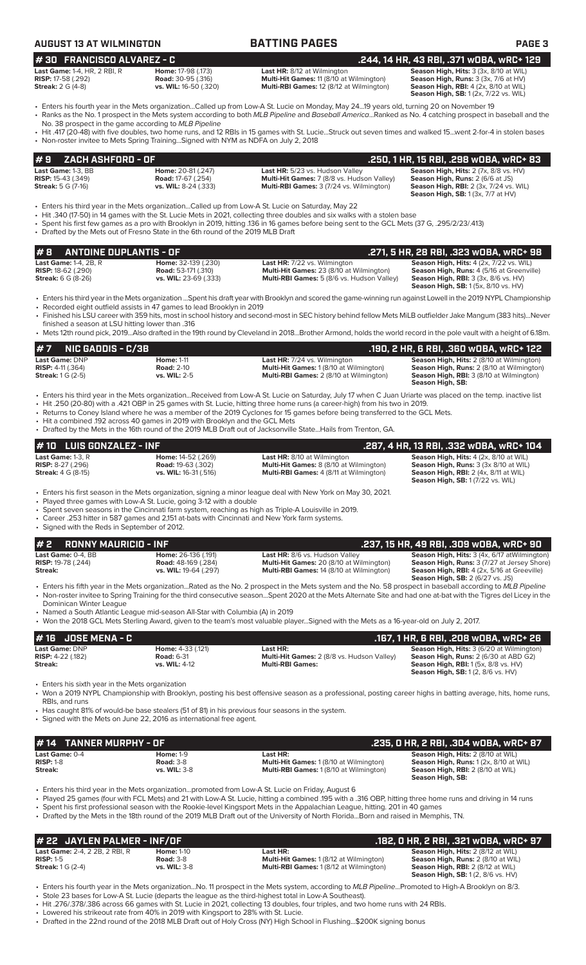| AUGUST 13 AT WILMINGTON |
|-------------------------|
|-------------------------|

# **AUGUST 13 AT WILMINGTON BATTING PAGES PAGE 3**

### **# 30 FRANCISCO ALVAREZ - C .244, 14 HR, 43 RBI, .371 wOBA, wRC+ 129**

| <b>Last Game: 1-4, HR, 2 RBI</b> |  |
|----------------------------------|--|
| <b>RISP:</b> 17-58 (.292)        |  |
| <b>Streak:</b> 2 G (4-8)         |  |

**Last HR:** 8/12 at Wilmington **Season High, Hits:** 3 (3x, 8/10 at WIL **Road:** 30-95 (.316) **Multi-Hit Games:** 11 (8/10 at Wilmington **Season High, Rins:** 3 (3x, 7/6 at HV) **Road:** 30-95 (.316) **Rulti-Hit Games:** 11 (8/10 at Wilmington)<br>**vs. WIL:** 16-50 (.320) **Multi-RBI Games:** 12 (8/12 at Wilmington) **Streak:** 2 G (4-8) **vs. WIL:** 16-50 (.320) **Multi-RBI Games:** 12 (8/12 at Wilmington) **Season High, RBI:** 4 (2x, 8/10 at WIL)

**Season High, SB:** 1 (2x, 7/22 vs. WIL)

- Enters his fourth year in the Mets organization...Called up from Low-A St. Lucie on Monday, May 24...19 years old, turning 20 on November 19 • Ranks as the No. 1 prospect in the Mets system according to both *MLB Pipeline* and *Baseball America*...Ranked as No. 4 catching prospect in baseball and the
- No. 38 prospect in the game according to *MLB Pipeline* • Hit .417 (20-48) with five doubles, two home runs, and 12 RBIs in 15 games with St. Lucie...Struck out seven times and walked 15...went 2-for-4 in stolen bases
- Non-roster invitee to Mets Spring Training...Signed with NYM as NDFA on July 2, 2018

### **Last Game:** 1-3, BB **Home:** 20-81 (.247) **Last HR:** 5/23 vs. Hudson Valley **Season High, Hits:** 2 (7x, 8/8 vs. HV) **RISP:** 15-43 (.349) **Road:** 17-67 (.254) **Multi-Hit Games:** 7 (8/8 vs. Hudson Valley) **Season High, Runs:** 2 (6/6 at JS) **Streak:** 5 G (7-16) **vs. WIL:** 8-24 (.333) **Multi-RBI Games:** 3 (7/24 vs. Wilmington) **Season High, RBI:** 2 (3x, 7/24 vs. WIL) **Season High, SB:** 1 (3x, 7/7 at HV) **# 9 ZACH ASHFORD - OF .250, 1 HR, 15 RBI, .298 wOBA, wRC+ 83**

- Enters his third year in the Mets organization...Called up from Low-A St. Lucie on Saturday, May 22
- Hit .340 (17-50) in 14 games with the St. Lucie Mets in 2021, collecting three doubles and six walks with a stolen base
- Spent his first few games as a pro with Brooklyn in 2019, hitting .136 in 16 games before being sent to the GCL Mets (37 G, .295/2/23/.413) • Drafted by the Mets out of Fresno State in the 6th round of the 2019 MLB Draft
- **# 8 ANTOINE DUPLANTIS OF .271, 5 HR, 28 RBI, .323 wOBA, wRC+ 98 Last Game:** 1-4, 2B, R **Home:** 32-139 (.230) **Last HR:** 7/22 vs. Wilmington **Season High, Hits:** 4 (2x, 7/22 vs. WIL) **RISP:** 18-62 (.290) **Road:** 53-171 (.310) **Multi-Hit Games:** 23 (8/10 at Wilmington) **Season High, Runs:** 4 (5/16 at Greenville) **Streak:** 6 G (8-26) **vs. WIL:** 23-69 (.333) **Multi-RBI Games:** 5 (8/6 vs. Hudson Valley) **Season High, RBI:** 3 (3x, 8/6 vs. HV) **Season High, SB:** 1 (5x, 8/10 vs. HV)
- Enters his third year in the Mets organization ...Spent his draft year with Brooklyn and scored the game-winning run against Lowell in the 2019 NYPL Championship • Recorded eight outfield assists in 47 games to lead Brooklyn in 2019
- Finished his LSU career with 359 hits, most in school history and second-most in SEC history behind fellow Mets MiLB outfielder Jake Mangum (383 hits)...Never finished a season at LSU hitting lower than .316
- Mets 12th round pick, 2019...Also drafted in the 19th round by Cleveland in 2018...Brother Armond, holds the world record in the pole vault with a height of 6.18m.

| # 7       NIC GADDIS - C/3B |                     |                                                | .190, 2 HR, 6 RBI, .360 wOBA, wRC+ 122           |
|-----------------------------|---------------------|------------------------------------------------|--------------------------------------------------|
| Last Game: DNP              | <b>Home: 1-11</b>   | <b>Last HR:</b> 7/24 vs. Wilmington            | <b>Season High, Hits: 2 (8/10 at Wilmington)</b> |
| <b>RISP:</b> $4-11(.364)$   | <b>Road: 2-10</b>   | <b>Multi-Hit Games: 1 (8/10 at Wilmington)</b> | <b>Season High, Runs:</b> 2 (8/10 at Wilmington) |
| <b>Streak:</b> $1 G (2-5)$  | <b>vs. WIL:</b> 2-5 | <b>Multi-RBI Games:</b> 2 (8/10 at Wilmington) | <b>Season High, RBI:</b> 3 (8/10 at Wilmington)  |
|                             |                     |                                                | Season High, SB:                                 |

- Enters his third year in the Mets organization...Received from Low-A St. Lucie on Saturday, July 17 when C Juan Uriarte was placed on the temp. inactive list • Hit .250 (20-80) with a .421 OBP in 25 games with St. Lucie, hitting three home runs (a career-high) from his two in 2019.
	- Returns to Coney Island where he was a member of the 2019 Cyclones for 15 games before being transferred to the GCL Mets.
	- Hit a combined .192 across 40 games in 2019 with Brooklyn and the GCL Mets
	- Drafted by the Mets in the 16th round of the 2019 MLB Draft out of Jacksonville State...Hails from Trenton, GA.

| $#10$ LUIS GONZALEZ - INF                                                           |                                                                                 |                                                                                                                                        | . .287, 4 HR, 13 RBI, .332 wOBA, wRC+ 104'                                                                                                                                               |
|-------------------------------------------------------------------------------------|---------------------------------------------------------------------------------|----------------------------------------------------------------------------------------------------------------------------------------|------------------------------------------------------------------------------------------------------------------------------------------------------------------------------------------|
| <b>Last Game: 1-3. R</b><br><b>RISP:</b> $8-27$ (.296)<br><b>Streak: 4 G (8-15)</b> | <b>Home: 14-52 (.269)</b><br><b>Road: 19-63 (.302)</b><br>vs. WIL: 16-31 (.516) | <b>Last HR:</b> 8/10 at Wilmington<br><b>Multi-Hit Games:</b> 8 (8/10 at Wilmington)<br><b>Multi-RBI Games:</b> 4 (8/11 at Wilmington) | <b>Season High, Hits: 4 (2x, 8/10 at WIL)</b><br><b>Season High, Runs: 3 (3x 8/10 at WIL)</b><br><b>Season High, RBI:</b> 2 (4x, 8/11 at WIL)<br><b>Season High, SB:</b> 1(7/22 vs. WIL) |

- Enters his first season in the Mets organization, signing a minor league deal with New York on May 30, 2021.
- Played three games with Low-A St. Lucie, going 3-12 with a double
- Spent seven seasons in the Cincinnati farm system, reaching as high as Triple-A Louisville in 2019. • Career .253 hitter in 587 games and 2,151 at-bats with Cincinnati and New York farm systems.
- Signed with the Reds in September of 2012.

### **# 2 RONNY MAURICIO - INF .237, 15 HR, 49 RBI, .309 wOBA, wRC+ 90 Last Game:** 0-4, BB **Home:** 26-136 (.191) **Last HR:** 8/6 vs. Hudson Valley **Season High, Hits:** 3 (4x, 6/17 atWilmington) **RISP:** 19-78 (.244) **Road:** 48-169 (.284) **Multi-Hit Games:** 20 (8/10 at Wilmington) **Season High, Runs:** 3 (7/27 at Jersey Shore) **Streak: vs. WIL:** 19-64 (.297) **Multi-RBI Games:** 14 (8/10 at Wilmington) **Season High, RBI:** 4 (2x, 5/16 at Greeville) **Season High, SB:** 2 (6/27 vs. JS) • Enters his fifth year in the Mets organization...Rated as the No. 2 prospect in the Mets system and the No. 58 prospect in baseball according to *MLB Pipeline*

- Non-roster invitee to Spring Training for the third consecutive season...Spent 2020 at the Mets Alternate Site and had one at-bat with the Tigres del Licey in the Dominican Winter League
- Named a South Atlantic League mid-season All-Star with Columbia (A) in 2019
- Won the 2018 GCL Mets Sterling Award, given to the team's most valuable player...Signed with the Mets as a 16-year-old on July 2, 2017.

### **# 16 JOSE MENA - C .167, 1 HR, 6 RBI, .208 wOBA, wRC+ 26 Last HR: Dames:** 2 (8/8 vs. Hudson Valley) **Season High, Hits:** 3 (6/20 at Wilmington)<br>**Multi-Hit Games:** 2 (8/8 vs. Hudson Valley) **Season High, Runs:** 2 (6/30 at ABD G2) **RISP:**  $4-22$  (.182) **Road:** 6-31 **Multi-Hit Games:** 2 (8/8 vs. Hudson Valley) **Road:** 6-31 **Multi-Hit Games:** 2 (8/8 vs. Hudson Valley) **Season High, RBI:** 1 (5x, 8/8 vs. HV) **Season High, SB:** 1 (2, 8/6 vs. HV)

Enters his sixth year in the Mets organization

• Won a 2019 NYPL Championship with Brooklyn, posting his best offensive season as a professional, posting career highs in batting average, hits, home runs, RBIs, and runs

- Has caught 81% of would-be base stealers (51 of 81) in his previous four seasons in the system.
- Signed with the Mets on June 22, 2016 as international free agent.

| #14 TANNER MURPHY - OF        |                                      |                                                            | . .235, O HR, 2 RBI, .304 wOBA, wRC+ 87 \                                                  |
|-------------------------------|--------------------------------------|------------------------------------------------------------|--------------------------------------------------------------------------------------------|
| Last Game: 0-4<br>$RISP: 1-8$ | <b>Home: 1-9</b><br><b>Road: 3-8</b> | Last HR:<br><b>Multi-Hit Games: 1 (8/10 at Wilmington)</b> | <b>Season High, Hits: 2 (8/10 at WIL)</b><br><b>Season High, Runs: 1 (2x, 8/10 at WIL)</b> |
| Streak:                       | <b>vs. WIL: 3-8</b>                  | <b>Multi-RBI Games: 1(8/10 at Wilmington)</b>              | <b>Season High, RBI:</b> 2 (8/10 at WIL)<br>Season High, SB:                               |

- Enters his third year in the Mets organization...promoted from Low-A St. Lucie on Friday, August 6
- Played 25 games (four with FCL Mets) and 21 with Low-A St. Lucie, hitting a combined .195 with a .316 OBP, hitting three home runs and driving in 14 runs
- Spent his first professional season with the Rookie-level Kingsport Mets in the Appalachian League, hitting. 201 in 40 games
- Drafted by the Mets in the 18th round of the 2019 MLB Draft out of the University of North Florida...Born and raised in Memphis, TN.

| # 22 JAYLEN PALMER - INF/OF           |                     |                                                | .182, 0 HR, 2 RBI, .321 w0BA, wRC+ 97    |
|---------------------------------------|---------------------|------------------------------------------------|------------------------------------------|
| <b>Last Game: 2-4, 2 2B, 2 RBI, R</b> | <b>Home: 1-10</b>   | Last HR:                                       | Season High, Hits: 2 (8/12 at WIL)       |
| $RISP: 1-5$                           | <b>Road: 3-8</b>    | <b>Multi-Hit Games: 1 (8/12 at Wilmington)</b> | Season High, Runs: 2 (8/10 at WIL)       |
| <b>Streak:</b> 1 G (2-4)              | <b>vs. WIL: 3-8</b> | <b>Multi-RBI Games: 1(8/12 at Wilmington)</b>  | <b>Season High, RBI:</b> 2 (8/12 at WIL) |
|                                       |                     |                                                | <b>Season High, SB:</b> 1(2, 8/6 vs. HV) |

- Enters his fourth year in the Mets organization...No. 11 prospect in the Mets system, according to *MLB Pipeline*...Promoted to High-A Brooklyn on 8/3. • Stole 23 bases for Low-A St. Lucie (departs the league as the third-highest total in Low-A Southeast).
- Hit .276/.378/.386 across 66 games with St. Lucie in 2021, collecting 13 doubles, four triples, and two home runs with 24 RBIs.
- Lowered his strikeout rate from 40% in 2019 with Kingsport to 28% with St. Lucie.
- Drafted in the 22nd round of the 2018 MLB Draft out of Holy Cross (NY) High School in Flushing...\$200K signing bonus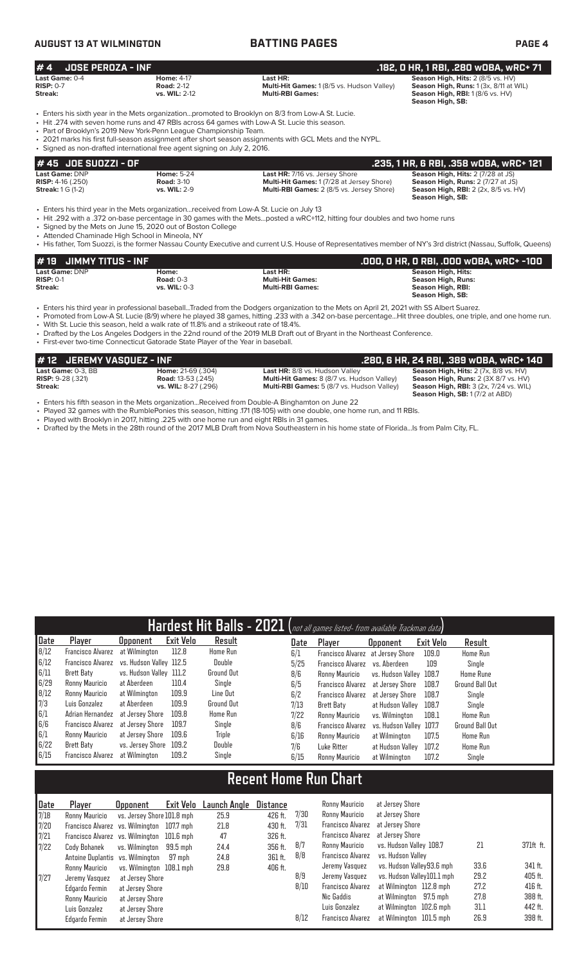# **AUGUST 13 AT WILMINGTON BATTING PAGES PAGE 4**

| #4                                                                              | <b>JOSE PEROZA - INF</b> |                                                                                                                                                                                                                                                                                                                                                      | .182, 0 HR, 1 RBI, .280 w0BA, wRC+ 71                                                                                    |                                                                                                                                     |  |  |  |  |  |  |
|---------------------------------------------------------------------------------|--------------------------|------------------------------------------------------------------------------------------------------------------------------------------------------------------------------------------------------------------------------------------------------------------------------------------------------------------------------------------------------|--------------------------------------------------------------------------------------------------------------------------|-------------------------------------------------------------------------------------------------------------------------------------|--|--|--|--|--|--|
| Last Game: 0-4<br><b>RISP: 0-7</b><br>Streak:                                   |                          | <b>Home: 4-17</b><br><b>Road: 2-12</b><br>vs. WIL: 2-12                                                                                                                                                                                                                                                                                              | Last HR:<br>Multi-Hit Games: 1 (8/5 vs. Hudson Valley)<br><b>Multi-RBI Games:</b>                                        | Season High, Hits: 2 (8/5 vs. HV)<br>Season High, Runs: 1 (3x, 8/11 at WIL)<br>Season High, RBI: 1 (8/6 vs. HV)<br>Season High, SB: |  |  |  |  |  |  |
|                                                                                 |                          | . Enters his sixth year in the Mets organizationpromoted to Brooklyn on 8/3 from Low-A St. Lucie.<br>• Hit .274 with seven home runs and 47 RBIs across 64 games with Low-A St. Lucie this season.<br>• Part of Brooklyn's 2019 New York-Penn League Championship Team.<br>. Signed as non-drafted international free agent signing on July 2, 2016. | . 2021 marks his first full-season assignment after short season assignments with GCL Mets and the NYPL.                 |                                                                                                                                     |  |  |  |  |  |  |
|                                                                                 | #45 JOE SU0ZZI - OF      |                                                                                                                                                                                                                                                                                                                                                      |                                                                                                                          | .235, 1 HR, 6 RBI, .358 wOBA, wRC+ 121                                                                                              |  |  |  |  |  |  |
| <b>Last Game: DNP</b><br><b>RISP:</b> $4-16$ (.250)<br><b>Streak: 1 G (1-2)</b> |                          | <b>Home: 5-24</b><br><b>Road: 3-10</b><br>vs. WIL: 2-9                                                                                                                                                                                                                                                                                               | Last HR: 7/16 vs. Jersey Shore<br>Multi-Hit Games: 1 (7/28 at Jersey Shore)<br>Multi-RBI Games: 2 (8/5 vs. Jersey Shore) | Season High, Hits: 2 (7/28 at JS)<br>Season High, Runs: 2 (7/27 at JS)<br>Season High, RBI: 2 (2x, 8/5 vs. HV)<br>Season High, SB:  |  |  |  |  |  |  |

• Enters his third year in the Mets organization...received from Low-A St. Lucie on July 13

• Hit .292 with a .372 on-base percentage in 30 games with the Mets...posted a wRC+112, hitting four doubles and two home runs

• Signed by the Mets on June 15, 2020 out of Boston College

• Attended Chaminade High School in Mineola, NY

7/27 Jeremy Vasquez at Jersey Shore<br>Edgardo Fermin at Jersey Shore

Ronny Mauricio at Jersey Shore Luis Gonzalez at Jersey Shore Edgardo Fermin at Jersey Shore

at Jersey Shore

• His father, Tom Suozzi, is the former Nassau County Executive and current U.S. House of Representatives member of NY's 3rd district (Nassau, Suffolk, Queens)

| $#$ 19 JIMMY TITUS - INF |                |                         | .000, 0 HR, 0 RBI, .000 w0BA, wRC+ -100 |
|--------------------------|----------------|-------------------------|-----------------------------------------|
| Last Game: DNP           | Home:          | Last HR:                | Season High, Hits:                      |
| $RISP: 0-1$              | Road: $0-3$    | <b>Multi-Hit Games:</b> | Season High, Runs:                      |
| Streak:                  | vs. WIL: $0-3$ | <b>Multi-RBI Games:</b> | Season High, RBI:                       |
|                          |                |                         | Season High, SB:                        |

• Enters his third year in professional baseball...Traded from the Dodgers organization to the Mets on April 21, 2021 with SS Albert Suarez.

• Promoted from Low-A St. Lucie (8/9) where he played 38 games, hitting .233 with a .342 on-base percentage...Hit three doubles, one triple, and one home run.

With St. Lucie this season, held a walk rate of 11.8% and a strikeout rate of 18.4%.

• Drafted by the Los Angeles Dodgers in the 22nd round of the 2019 MLB Draft out of Bryant in the Northeast Conference.

• First-ever two-time Connecticut Gatorade State Player of the Year in baseball.

| #12 JEREMY VASQUEZ - INF             |                           |                                                   | .280. 6 HR. 24 RBI. .389 WOBA. WRC+ 140           |
|--------------------------------------|---------------------------|---------------------------------------------------|---------------------------------------------------|
| Last Game: 0-3. BB                   | <b>Home: 21-69 (.304)</b> | Last HR: 8/8 vs. Hudson Valley                    | Season High, Hits: 2 (7x, 8/8 vs. HV)             |
| <b>RISP: <math>9-28(.321)</math></b> | <b>Road:</b> 13-53 (.245) | <b>Multi-Hit Games:</b> 8 (8/7 vs. Hudson Valley) | Season High, Runs: 2 (3X 8/7 vs. HV)              |
| Streak:                              | vs. WIL: 8-27 (.296)      | <b>Multi-RBI Games:</b> 5 (8/7 vs. Hudson Valley) | <b>Season High, RBI:</b> $3$ (2x, $7/24$ vs. WIL) |
|                                      |                           |                                                   | <b>Season High, SB: 1 (7/2 at ABD)</b>            |

• Enters his fifth season in the Mets organization...Received from Double-A Binghamton on June 22

• Played 32 games with the RumblePonies this season, hitting .171 (18-105) with one double, one home run, and 11 RBIs.

• Played with Brooklyn in 2017, hitting .225 with one home run and eight RBIs in 31 games.

• Drafted by the Mets in the 28th round of the 2017 MLB Draft from Nova Southeastern in his home state of Florida...Is from Palm City, FL.

|             |                                  |                                    |                  |                     |                 |      | Hardest Hit Balls - 2021 (not all games listed- from available Trackman data) |                            |           |                  |           |
|-------------|----------------------------------|------------------------------------|------------------|---------------------|-----------------|------|-------------------------------------------------------------------------------|----------------------------|-----------|------------------|-----------|
| <b>Date</b> | Player                           | <b>Opponent</b>                    | <b>Exit Velo</b> | Result              |                 | Date | Player                                                                        | <b>Opponent</b>            | Exit Velo | Result           |           |
| 8/12        | <b>Francisco Alvarez</b>         | at Wilmington                      | 112.8            | <b>Home Run</b>     |                 | 6/1  | Francisco Alvarez                                                             | at Jersey Shore            | 109.0     | Home Run         |           |
| 6/12        | <b>Francisco Alvarez</b>         | vs. Hudson Valley 112.5            |                  | Double              |                 | 5/25 | <b>Francisco Alvarez</b>                                                      | vs. Aberdeen               | 109       | Single           |           |
| 6/11        | <b>Brett Baty</b>                | vs. Hudson Valley 111.2            |                  | <b>Ground Out</b>   |                 | 8/6  | Ronny Mauricio                                                                | vs. Hudson Vallev          | 108.7     | <b>Home Rune</b> |           |
| 6/29        | Ronny Mauricio                   | at Aberdeen                        | 110.4            | Single              |                 | 6/5  | <b>Francisco Alvarez</b>                                                      | at Jersey Shore            | 108.7     | Ground Ball Out  |           |
| 8/12        | Ronny Mauricio                   | at Wilmington                      | 109.9            | Line Out            |                 | 6/2  | <b>Francisco Alvarez</b>                                                      | at Jersey Shore            | 108.7     | Single           |           |
| 7/3         | Luis Gonzalez                    | at Aberdeen                        | 109.9            | <b>Ground Out</b>   |                 | 7/13 | Brett Baty                                                                    | at Hudson Vallev           | 108.7     | Single           |           |
| 6/1         | Adrian Hernandez                 | at Jersey Shore                    | 109.8            | <b>Home Run</b>     |                 | 7/22 | Ronny Mauricio                                                                | vs. Wilmington             | 108.1     | Home Run         |           |
| 6/6         | <b>Francisco Alvarez</b>         | at Jersey Shore                    | 109.7            | Single              |                 | 8/6  | <b>Francisco Alvarez</b>                                                      | vs. Hudson Vallev          | 107.7     | Ground Ball Out  |           |
| 6/1         | Ronny Mauricio                   | at Jersey Shore                    | 109.6            | <b>Triple</b>       |                 | 6/16 | Ronny Mauricio                                                                | at Wilmington              | 107.5     | <b>Home Run</b>  |           |
| 6/22        | <b>Brett Baty</b>                | vs. Jersey Shore                   | 109.2            | Double              |                 | 7/6  | Luke Ritter                                                                   | at Hudson Vallev           | 107.2     | <b>Home Run</b>  |           |
| 6/15        | Francisco Alvarez                | at Wilmington                      | 109.2            | Single              |                 | 6/15 | Ronny Mauricio                                                                | at Wilmington              | 107.2     | Single           |           |
|             |                                  |                                    |                  |                     |                 |      | <b>Recent Home Run Chart</b>                                                  |                            |           |                  |           |
| <b>Date</b> | Player                           |                                    | <b>Exit Velo</b> | <b>Launch Angle</b> | <b>Distance</b> |      | Ronny Mauricio                                                                | at Jersey Shore            |           |                  |           |
| 7/18        |                                  | <b>Opponent</b>                    |                  |                     |                 | 7/30 | Ronny Mauricio                                                                | at Jersey Shore            |           |                  |           |
|             | Ronny Mauricio                   | vs. Jersey Shore 101.8 mph         |                  | 25.9                | 426 ft.         | 7/31 | <b>Francisco Alvarez</b>                                                      | at Jersey Shore            |           |                  |           |
| 7/20        | <b>Francisco Alvarez</b>         | vs. Wilminaton                     | 107.7 mph        | 21.8                | 430 ft.         |      | <b>Francisco Alvarez</b>                                                      | at Jersey Shore            |           |                  |           |
| 7/21        | Francisco Alvarez vs. Wilmington |                                    | $101.6$ mph      | 47                  | 326 ft.         | 8/7  | Ronny Mauricio                                                                | vs. Hudson Valley 108.7    |           | 21               | 371ft ft. |
| 7/22        | Cody Bohanek                     | vs. Wilminaton                     | $99.5$ mph       | 24.4                | 356 ft.         | 8/8  | <b>Francisco Alvarez</b>                                                      | vs. Hudson Vallev          |           |                  |           |
|             | Antoine Duplantis                | vs. Wilmington                     | 97 mph           | 24.8                | 361 ft.         |      | Jeremy Vasquez                                                                | vs. Hudson Valley93.6 mph  |           | 33.6             | 341 ft.   |
|             | Ronny Mauricio                   | vs. Wilmington 108.1 mph           |                  | 29.8                | 406 ft.         | 8/9  | Jeremy Vasquez                                                                | vs. Hudson Valley101.1 mph |           | 29.2             | 405 ft.   |
| 7/27        | Jeremy Vasquez<br>Edaarda Formin | at Jersey Shore<br>nt Jorgay Chara |                  |                     |                 | R/10 | <b>Francisco Alvarez</b>                                                      | at Wilmington 112 B mph    |           | 272              | 416 ft    |

Francisco Alvarez at Wilmington 112.8 mph 27.2

8/12 Francisco Alvarez at Wilmington 101.5 mph

Nic Gaddis at Wilmington 97.5 mph 27.8 388 ft.<br>Luis Gonzalez at Wilmington 102.6 mph 31.1 442 ft.

at Wilmington 102.6 mph 31.1 442 ft.<br>at Wilmington 101.5 mph 26.9 398 ft.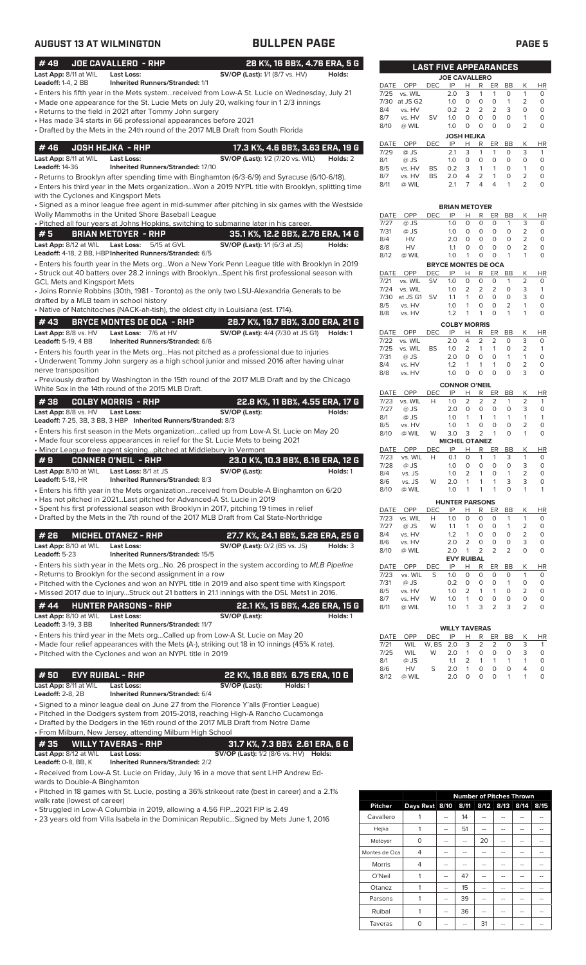| <b>AUGUST 13 AT WILMINGTON</b>                                                |                                                                                                                                                                      | <b>BULLPEN PAGE</b>                                                                                                                                                                                                                                                                  |                              |                                                   |                                                              |                         |                                       |                                                                                                            |                                                                           |                                                               |                                                                 | <b>PAGE 5</b>                                                             |
|-------------------------------------------------------------------------------|----------------------------------------------------------------------------------------------------------------------------------------------------------------------|--------------------------------------------------------------------------------------------------------------------------------------------------------------------------------------------------------------------------------------------------------------------------------------|------------------------------|---------------------------------------------------|--------------------------------------------------------------|-------------------------|---------------------------------------|------------------------------------------------------------------------------------------------------------|---------------------------------------------------------------------------|---------------------------------------------------------------|-----------------------------------------------------------------|---------------------------------------------------------------------------|
| #49                                                                           | <b>JOE CAVALLERO - RHP</b>                                                                                                                                           |                                                                                                                                                                                                                                                                                      | 28 K%, 16 BB%, 4.76 ERA, 5 G |                                                   |                                                              |                         | <b>LAST FIVE APPEARANCES</b>          |                                                                                                            |                                                                           |                                                               |                                                                 |                                                                           |
| Last App: 8/11 at WIL                                                         | <b>Last Loss:</b>                                                                                                                                                    | <b>SV/OP (Last):</b> 1/1 (8/7 vs. HV)                                                                                                                                                                                                                                                | Holds:                       |                                                   |                                                              |                         | <b>JOE CAVALLERO</b>                  |                                                                                                            |                                                                           |                                                               |                                                                 |                                                                           |
| <b>Leadoff: 1-4, 2 BB</b>                                                     | <b>Inherited Runners/Stranded: 1/1</b><br>• Returns to the field in 2021 after Tommy John surgery<br>• Has made 34 starts in 66 professional appearances before 2021 | • Enters his fifth year in the Mets systemreceived from Low-A St. Lucie on Wednesday, July 21<br>• Made one appearance for the St. Lucie Mets on July 20, walking four in 12/3 innings<br>• Drafted by the Mets in the 24th round of the 2017 MLB Draft from South Florida           |                              | <b>DATE</b><br>7/25<br>7/30<br>8/4<br>8/7<br>8/10 | OPP<br>vs. WIL<br>at JS G2<br>vs. HV<br>vs. HV<br>@ WIL      | <b>DEC</b><br><b>SV</b> | IP<br>2.0<br>1.0<br>0.2<br>1.0<br>1.0 | H<br>R<br>3<br>$\mathbf{1}$<br>0<br>0<br>2<br>2<br>0<br>$\circ$<br>$\circ$<br>0                            | ER<br>$\mathbf{1}$<br>$\circ$<br>2<br>$\circ$<br>$\circ$                  | BB<br>$\circ$<br>$\mathbf{1}$<br>3<br>$\circ$<br>$\circ$      | К<br>$\mathbf{1}$<br>2<br>$\circ$<br>$\mathbf{1}$<br>2          | <b>HR</b><br>$\circ$<br>$\circ$<br>$\circ$<br>$\circ$<br>$\circ$          |
|                                                                               |                                                                                                                                                                      |                                                                                                                                                                                                                                                                                      |                              | DATE                                              | OPP                                                          | <b>DEC</b>              | <b>JOSH HEJKA</b><br>IP               | H<br>R                                                                                                     | ER BB                                                                     |                                                               | К                                                               | <b>HR</b>                                                                 |
| #46<br>Last App: 8/11 at WIL<br><b>Leadoff: 14-36</b>                         | <b>JOSH HEJKA - RHP</b><br>Last Loss:<br>Inherited Runners/Stranded: 17/10                                                                                           | 17.3 K%, 4.6 BB%, 3.63 ERA, 19 G<br><b>SV/OP (Last):</b> 1/2 (7/20 vs. WIL)<br>• Returns to Brooklyn after spending time with Binghamton (6/3-6/9) and Syracuse (6/10-6/18).<br>• Enters his third year in the Mets organizationWon a 2019 NYPL title with Brooklyn, splitting time  | Holds: 2                     | 7/29<br>8/1<br>8/5<br>8/7<br>8/11                 | @ JS<br>@ JS<br>vs. HV<br>vs. HV<br>@ WIL                    | <b>BS</b><br><b>BS</b>  | 2.1<br>1.0<br>0.2<br>2.0<br>2.1       | 3<br>$\mathbf{1}$<br>$\circ$<br>0<br>3<br>$\mathbf{1}$<br>4<br>2<br>$\overline{7}$<br>4                    | $\mathbf{1}$<br>$\circ$<br>$\mathbf{1}$<br>$\mathbf{1}$<br>$\overline{4}$ | 0<br>$\circ$<br>$\circ$<br>$\circ$<br>$\mathbf{1}$            | 3<br>$\circ$<br>$\mathbf{1}$<br>$\overline{2}$<br>2             | $\mathbf{1}$<br>$\circ$<br>$\circ$<br>$\circ$<br>$\circ$                  |
| with the Cyclones and Kingsport Mets                                          |                                                                                                                                                                      | • Signed as a minor league free agent in mid-summer after pitching in six games with the Westside                                                                                                                                                                                    |                              |                                                   |                                                              |                         | <b>BRIAN METOYER</b>                  |                                                                                                            |                                                                           |                                                               |                                                                 |                                                                           |
|                                                                               | Wolly Mammoths in the United Shore Baseball League                                                                                                                   |                                                                                                                                                                                                                                                                                      |                              | DATE                                              | OPP                                                          | <b>DEC</b>              | IP                                    | н<br>R                                                                                                     | ER                                                                        | BB                                                            | К                                                               | <b>HR</b>                                                                 |
|                                                                               |                                                                                                                                                                      | . Pitched all four years at Johns Hopkins, switching to submarine later in his career.                                                                                                                                                                                               |                              | 7/27<br>7/31                                      | @ JS<br>@ JS                                                 |                         | 1.0<br>1.0                            | $\circ$<br>$\circ$<br>0<br>0                                                                               | $\circ$<br>$\circ$                                                        | $\mathbf{1}$<br>$\circ$                                       | 3<br>$\overline{2}$                                             | $\circ$<br>$\circ$                                                        |
| #5<br>Last App: 8/12 at WIL                                                   | <b>BRIAN METOYER - RHP</b><br>Last Loss:<br>5/15 at GVL<br>Leadoff: 4-18, 2 BB, HBP Inherited Runners/Stranded: 6/5                                                  | 35.1 K%, 12.2 BB%, 2.78 ERA, 14 G<br>SV/OP (Last): 1/1 (6/3 at JS)                                                                                                                                                                                                                   | Holds:                       | 8/4<br>8/8<br>8/12                                | HV<br>HV<br>@ WIL                                            |                         | 2.0<br>1.1<br>1.0                     | 0<br>$\circ$<br>0<br>0<br>$\mathbf{1}$<br>0                                                                | $\circ$<br>0<br>0                                                         | 0<br>$\circ$<br>$\mathbf{1}$                                  | $\overline{2}$<br>$\overline{2}$<br>$\mathbf{1}$                | $\circ$<br>$\circ$<br>$\circ$                                             |
|                                                                               |                                                                                                                                                                      | · Enters his fourth year in the Mets orgWon a New York Penn League title with Brooklyn in 2019                                                                                                                                                                                       |                              |                                                   |                                                              |                         | <b>BRYCE MONTES DE OCA</b>            |                                                                                                            |                                                                           |                                                               |                                                                 |                                                                           |
| <b>GCL Mets and Kingsport Mets</b><br>drafted by a MLB team in school history |                                                                                                                                                                      | • Struck out 40 batters over 28.2 innings with BrooklynSpent his first professional season with<br>• Joins Ronnie Robbins (30th, 1981 - Toronto) as the only two LSU-Alexandria Generals to be<br>• Native of Natchitoches (NACK-ah-tish), the oldest city in Louisiana (est. 1714). |                              | DATE<br>7/21<br>7/24<br>7/30<br>8/5<br>8/8        | OPP<br>vs. WIL<br>vs. WIL<br>at JS G1 SV<br>vs. HV<br>vs. HV | <b>DEC</b><br><b>SV</b> | IP<br>1.0<br>1.0<br>1.1<br>1.0<br>1.2 | H<br>R<br>0<br>0<br>2<br>2<br>$\mathbf{1}$<br>$\circ$<br>$\mathbf{1}$<br>0<br>$\mathbf{1}$<br>$\mathbf{1}$ | ER<br>$\circ$<br>2<br>$\circ$<br>0<br>$\circ$                             | BB<br>$\mathbf{1}$<br>$\circ$<br>$\circ$<br>2<br>$\mathbf{1}$ | К<br>$\overline{2}$<br>3<br>3<br>$\mathbf{1}$<br>$\overline{1}$ | <b>HR</b><br>$\circ$<br>$\mathbf{1}$<br>$\mathsf O$<br>$\circ$<br>$\circ$ |
| #43                                                                           | <b>BRYCE MONTES DE OCA - RHP</b>                                                                                                                                     | 28.7 K%, 19.7 BB%, 3.00 ERA, 21 G                                                                                                                                                                                                                                                    |                              |                                                   |                                                              |                         | <b>COLBY MORRIS</b>                   |                                                                                                            |                                                                           |                                                               |                                                                 |                                                                           |
| Last App: 8/8 vs. HV<br><b>Leadoff: 5-19, 4 BB</b>                            | Last Loss: 7/6 at HV<br>Inherited Runners/Stranded: 6/6                                                                                                              | <b>SV/OP (Last):</b> 4/4 (7/30 at JS G1)<br>• Enters his fourth year in the Mets org Has not pitched as a professional due to injuries                                                                                                                                               | Holds: 1                     | DATE<br>7/22<br>7/25                              | OPP<br>vs. WIL<br>vs. WIL                                    | <b>DEC</b><br>BS        | IP<br>2.0<br>1.0                      | н<br>R<br>$\overline{4}$<br>2<br>2<br>$\overline{1}$                                                       | ER<br>$\overline{2}$<br>$\mathbf{1}$                                      | BB<br>$\circ$<br>0                                            | К<br>3<br>2                                                     | <b>HR</b><br>$\circ$<br>$\mathbf{1}$                                      |
| nerve transposition                                                           |                                                                                                                                                                      | • Underwent Tommy John surgery as a high school junior and missed 2016 after having ulnar                                                                                                                                                                                            |                              | 7/31<br>8/4                                       | @ JS<br>vs. HV                                               |                         | 2.0<br>1.2                            | 0<br>0<br>$\mathbf{1}$<br>$\mathbf{1}$<br>$\circ$<br>$\circ$                                               | $\circ$<br>$\mathbf{1}$<br>$\circ$                                        | $\mathbf{1}$<br>$\circ$<br>$\circ$                            | $\mathbf{1}$<br>$\overline{2}$<br>3                             | $\circ$<br>$\circ$<br>$\circ$                                             |
|                                                                               | White Sox in the 14th round of the 2015 MLB Draft.                                                                                                                   | • Previously drafted by Washington in the 15th round of the 2017 MLB Draft and by the Chicago                                                                                                                                                                                        |                              | 8/8<br>DATE                                       | vs. HV<br>OPP                                                | DEC                     | 1.0<br><b>CONNOR O'NEIL</b><br>IP     | н<br>R                                                                                                     | ER                                                                        | BB                                                            | К                                                               | <b>HR</b>                                                                 |
| #38                                                                           | <b>COLBY MORRIS - RHP</b>                                                                                                                                            | 22.8 K%, 11 BB%, 4.55 ERA, 17 G                                                                                                                                                                                                                                                      |                              | 7/23                                              | vs. WIL                                                      | H                       | 1.0                                   | 2<br>2                                                                                                     | 2                                                                         | $\mathbf{1}$                                                  | $\overline{2}$                                                  | $\overline{1}$                                                            |
| Last App: 8/8 vs. HV                                                          | <b>Last Loss:</b>                                                                                                                                                    | SV/OP (Last):                                                                                                                                                                                                                                                                        | Holds:                       | 7/27<br>8/1                                       | @ JS<br>@ JS                                                 |                         | 2.0<br>1.0                            | 0<br>0<br>$\mathbf{1}$<br>$\mathbf{1}$                                                                     | 0<br>$\overline{1}$                                                       | 0<br>1                                                        | 3<br>$\mathbf{1}$                                               | $\circ$<br>$\overline{1}$                                                 |
|                                                                               | Leadoff: 7-25, 3B, 3 BB, 3 HBP Inherited Runners/Stranded: 8/3                                                                                                       | • Enters his first season in the Mets organizationcalled up from Low-A St. Lucie on May 20<br>• Made four scoreless appearances in relief for the St. Lucie Mets to being 2021                                                                                                       |                              | 8/5<br>8/10                                       | vs. HV<br>@ WIL                                              | W                       | 1.0<br>3.0<br><b>MICHEL OTANEZ</b>    | $\mathbf{1}$<br>0<br>3<br>2                                                                                | $\circ$<br>$\overline{1}$                                                 | $\circ$<br>$\circ$                                            | $\overline{2}$<br>$\mathbf{1}$                                  | $\circ$<br>$\circ$                                                        |
|                                                                               | • Minor League free agent signingpitched at Middlebury in Vermont                                                                                                    |                                                                                                                                                                                                                                                                                      |                              | DATE<br>7/23                                      | OPP<br>vs. WIL                                               | DEC<br>H                | IP<br>0.1                             | H<br>R<br>0<br>$\overline{1}$                                                                              | ER<br>$\mathbf{1}$                                                        | BB<br>3                                                       | К<br>$\mathbf{1}$                                               | <b>HR</b><br>$\circ$                                                      |
| #9<br>Last App: 8/10 at WIL                                                   | <b>CONNER O'NEIL - RHP</b><br>Last Loss: 8/1 at JS                                                                                                                   | 23.0 K%, 10.3 BB%, 6.16 ERA, 12 G<br>SV/OP (Last):                                                                                                                                                                                                                                   | Holds: 1                     | 1/28<br>8/4                                       | @ JS<br>vs. JS                                               |                         | 1.0<br>1.0                            | $\circ$<br>O<br>2<br>1                                                                                     | 0                                                                         | O<br>$\mathbf{1}$                                             | З<br>$\overline{2}$                                             | 0<br>0                                                                    |
| Leadoff: 5-18, HR                                                             | Inherited Runners/Stranded: 8/3<br>• Has not pitched in 2021Last pitched for Advanced-A St. Lucie in 2019                                                            | • Enters his fifth year in the Mets organizationreceived from Double-A Binghamton on 6/20                                                                                                                                                                                            |                              | 8/6<br>8/10                                       | vs. JS<br>@ WIL                                              | W                       | 2.0<br>1.0                            | $\mathbf{1}$<br>1<br>$\mathbf{1}$<br>1                                                                     | 1<br>$\mathbf{1}$                                                         | 3<br>0                                                        | 3<br>1                                                          | $\circ$<br>$\overline{1}$                                                 |
|                                                                               |                                                                                                                                                                      | · Spent his first professional season with Brooklyn in 2017, pitching 19 times in relief                                                                                                                                                                                             |                              | DATE                                              | OPP                                                          | DEC                     | <b>HUNTER PARSONS</b><br>IP           | Н<br>R                                                                                                     | ER                                                                        | BB                                                            | К                                                               | HR                                                                        |
|                                                                               |                                                                                                                                                                      | • Drafted by the Mets in the 7th round of the 2017 MLB Draft from Cal State-Northridge                                                                                                                                                                                               |                              | 7/23                                              | vs. WIL                                                      | Н                       | 1.0                                   | 0<br>0                                                                                                     | 0                                                                         | 1                                                             | $\mathbf{1}$                                                    | 0                                                                         |
| #26                                                                           | <b>MICHEL OTANEZ - RHP</b>                                                                                                                                           | 27.7 K%, 24.1 BB%, 5.28 ERA, 25 G                                                                                                                                                                                                                                                    |                              | 7/27<br>8/4<br>8/6                                | @ JS<br>vs. HV<br>vs. HV                                     | W                       | 1.1<br>1.2<br>2.0                     | $\mathbf{1}$<br>0<br>$\mathbf{1}$<br>0<br>2<br>0                                                           | 0<br>0<br>0                                                               | 1<br>0<br>0                                                   | $\overline{2}$<br>2<br>3                                        | $\circ$<br>$\circ$<br>$\circ$                                             |
| Last App: 8/10 at WIL<br>Leadoff: 5-23                                        | <b>Last Loss:</b><br>Inherited Runners/Stranded: 15/5                                                                                                                | <b>SV/OP (Last):</b> 0/2 (BS vs. JS)<br>• Enters his sixth year in the Mets orgNo. 26 prospect in the system according to MLB Pipeline                                                                                                                                               | Holds: 3                     | 8/10                                              | @ WIL                                                        |                         | 2.0                                   | 2<br>$\mathbf{1}$<br><b>EVY RUIBAL</b>                                                                     | 2                                                                         | $\overline{2}$                                                | $\circ$                                                         | $\circ$                                                                   |
|                                                                               | • Returns to Brooklyn for the second assignment in a row                                                                                                             | • Pitched with the Cyclones and won an NYPL title in 2019 and also spent time with Kingsport<br>· Missed 2017 due to injuryStruck out 21 batters in 21.1 innings with the DSL Mets1 in 2016.                                                                                         |                              | DATE<br>7/23<br>7/31<br>8/5<br>8/7                | OPP<br>vs. WIL<br>@ JS<br>vs. HV<br>vs. HV                   | <b>DEC</b><br>S<br>W    | IP<br>1.0<br>0.2<br>1.0<br>1.0        | Н<br>R<br>0<br>0<br>0<br>0<br>2<br>1<br>$\mathbf{1}$<br>0                                                  | ER<br>0<br>0<br>1<br>$\circ$                                              | BB<br>0<br>1<br>0<br>0                                        | К<br>$\mathbf{1}$<br>0<br>2<br>0                                | HR<br>0<br>0<br>$\circ$<br>$\circ$                                        |
| #44<br>Last App: 8/10 at WIL                                                  | <b>HUNTER PARSONS - RHP</b><br><b>Last Loss:</b>                                                                                                                     | 22.1 K%, 15 BB%, 4.26 ERA, 15 G<br>SV/OP (Last):                                                                                                                                                                                                                                     | Holds: 1                     | 8/11                                              | @ WIL                                                        |                         | 1.0                                   | 3<br>1                                                                                                     | $\overline{2}$                                                            | 3                                                             | 2                                                               | $\circ$                                                                   |
| <b>Leadoff: 3-19, 3 BB</b>                                                    | <b>Inherited Runners/Stranded: 11/7</b>                                                                                                                              |                                                                                                                                                                                                                                                                                      |                              |                                                   |                                                              |                         | <b>WILLY TAVERAS</b>                  |                                                                                                            |                                                                           |                                                               |                                                                 |                                                                           |
|                                                                               | • Pitched with the Cyclones and won an NYPL title in 2019                                                                                                            | • Enters his third year in the Mets orgCalled up from Low-A St. Lucie on May 20<br>• Made four relief appearances with the Mets (A-), striking out 18 in 10 innings (45% K rate).                                                                                                    |                              | DATE<br>7/21<br>7/25<br>8/1                       | OPP<br>WIL<br>WIL<br>@ JS                                    | DEC<br>W, BS<br>W       | IP<br>2.0<br>2.0<br>1.1               | R<br>н<br>3<br>2<br>$\mathbf{1}$<br>0<br>$\overline{2}$<br>$\mathbf{1}$                                    | ER<br>2<br>0<br>1                                                         | BB<br>0<br>0<br>$\mathbf{1}$                                  | Κ<br>3<br>3<br>$\mathbf{1}$                                     | HR<br>$\mathbf{1}$<br>$\circ$<br>O                                        |
| #50<br>Last App: 8/11 at WIL                                                  | <b>EVY RUIBAL - RHP</b><br><b>Last Loss:</b>                                                                                                                         | 22 K%, 18.6 BB% 6.75 ERA, 10 G<br>SV/OP (Last):<br>Holds: 1                                                                                                                                                                                                                          |                              | 8/6<br>8/12                                       | HV<br>@ WIL                                                  | S                       | 2.0<br>2.0                            | 0<br>$\mathbf{1}$<br>$\circ$<br>0                                                                          | $\circ$<br>0                                                              | 0<br>1                                                        | 4<br>$\mathbf{1}$                                               | $\circ$<br>0                                                              |
| <b>Leadoff: 2-8, 2B</b>                                                       | Inherited Runners/Stranded: 6/4<br>• From Milburn, New Jersey, attending Milburn High School                                                                         | • Signed to a minor league deal on June 27 from the Florence Y'alls (Frontier League)<br>• Pitched in the Dodgers system from 2015-2018, reaching High-A Rancho Cucamonga<br>• Drafted by the Dodgers in the 16th round of the 2017 MLB Draft from Notre Dame                        |                              |                                                   |                                                              |                         |                                       |                                                                                                            |                                                                           |                                                               |                                                                 |                                                                           |
| #35                                                                           | <b>WILLY TAVERAS - RHP</b>                                                                                                                                           | 31.7 K%, 7.3 BB% 2.61 ERA, 6 G                                                                                                                                                                                                                                                       |                              |                                                   |                                                              |                         |                                       |                                                                                                            |                                                                           |                                                               |                                                                 |                                                                           |
| Last App: 8/12 at WIL<br>Leadoff: 0-8, BB, K                                  | <b>Last Loss:</b><br><b>Inherited Runners/Stranded: 2/2</b>                                                                                                          | <b>SV/OP (Last):</b> 1/2 (8/6 vs. HV) <b>Holds:</b>                                                                                                                                                                                                                                  |                              |                                                   |                                                              |                         |                                       |                                                                                                            |                                                                           |                                                               |                                                                 |                                                                           |

• Received from Low-A St. Lucie on Friday, July 16 in a move that sent LHP Andrew Edwards to Double-A Binghamton

• Pitched in 18 games with St. Lucie, posting a 36% strikeout rate (best in career) and a 2.1% walk rate (lowest of career)

• Struggled in Low-A Columbia in 2019, allowing a 4.56 FIP...2021 FIP is 2.49

• 23 years old from Villa Isabela in the Dominican Republic...Signed by Mets June 1, 2016

|                |                |    | <b>Number of Pitches Thrown</b> |    |    |                |      |
|----------------|----------------|----|---------------------------------|----|----|----------------|------|
| <b>Pitcher</b> | Days Rest 8/10 |    | 8/11                            |    |    | 8/12 8/13 8/14 | 8/15 |
| Cavallero      |                |    | 14                              |    |    |                |      |
| Hejka          | 1              | -- | 51                              |    |    |                |      |
| Metoyer        | $\Omega$       | -- |                                 | 20 |    | --             |      |
| Montes de Oca  | 4              | -- | --                              |    |    | --             |      |
| <b>Morris</b>  | 4              |    |                                 |    |    |                |      |
| O'Neil         |                | -- | 47                              |    |    |                |      |
| Otanez         | 1              |    | 15                              |    |    |                |      |
| Parsons        |                | -- | 39                              | -- |    | --             |      |
| Ruibal         |                | -- | 36                              | -- | -- | --             |      |
| Taveras        | O              |    |                                 | 31 |    |                |      |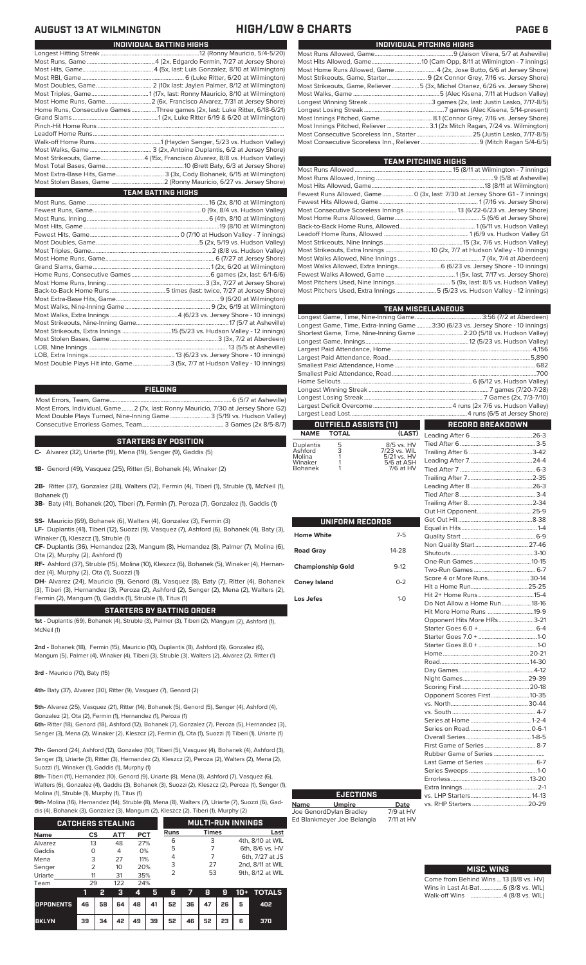# **AUGUST 13 AT WILMINGTON HIGH/LOW & CHARTS PAGE 6**

| INDIVIDUAL BATTING HIGHS                                                    |
|-----------------------------------------------------------------------------|
|                                                                             |
|                                                                             |
|                                                                             |
|                                                                             |
|                                                                             |
|                                                                             |
|                                                                             |
| Home Runs, Consecutive Games Three games (2x, last: Luke Ritter, 6/18-6/21) |
|                                                                             |
|                                                                             |
|                                                                             |
|                                                                             |
|                                                                             |
| Most Strikeouts, Game4 (15x, Francisco Alvarez, 8/8 vs. Hudson Valley)      |
|                                                                             |
| Most Extra-Base Hits, Game 3 (3x, Cody Bohanek, 6/15 at Wilmington)         |
|                                                                             |
| <b>TEAM BATTING HIGHS</b>                                                   |
|                                                                             |
|                                                                             |
|                                                                             |
|                                                                             |
|                                                                             |
|                                                                             |
|                                                                             |
|                                                                             |
|                                                                             |
|                                                                             |
|                                                                             |
|                                                                             |
|                                                                             |
|                                                                             |
|                                                                             |
|                                                                             |
|                                                                             |
|                                                                             |
|                                                                             |
|                                                                             |

LOB, Extra Innings........................................................13 (6/23 vs. Jersey Shore - 10 innings) .3 (5x, 7/7 at Hudson Valley - 10 innings)

### **FIELDING**

Most Errors, Team, Game...............................................................................6 (5/7 at Asheville) Most Errors, Individual, Game....... 2 (7x, last: Ronny Mauricio, 7/30 at Jersey Shore G2) Most Double Plays Turned, Nine-Inning Game.......................... 3 (5/19 vs. Hudson Valley) Consecutive Errorless Games, Team...

### **STARTERS BY POSITION**

**C-** Alvarez (32), Uriarte (19), Mena (19), Senger (9), Gaddis (5)

**1B-** Genord (49), Vasquez (25), Ritter (5), Bohanek (4), Winaker (2)

**2B-** Ritter (37), Gonzalez (28), Walters (12), Fermin (4), Tiberi (1), Struble (1), McNeil (1), Bohanek (1)

**3B-** Baty (41), Bohanek (20), Tiberi (7), Fermin (7), Peroza (7), Gonzalez (1), Gaddis (1)

**SS-** Mauricio (69), Bohanek (6), Walters (4), Gonzalez (3), Fermin (3)

**LF-** Duplantis (41), Tiberi (12), Suozzi (9), Vasquez (7), Ashford (6), Bohanek (4), Baty (3), Winaker (1), Kleszcz (1), Struble (1)

**CF-** Duplantis (36), Hernandez (23), Mangum (8), Hernandez (8), Palmer (7), Molina (6), Ota (2), Murphy (2), Ashford (1)

**RF-** Ashford (37), Struble (15), Molina (10), Kleszcz (6), Bohanek (5), Winaker (4), Hernandez (4), Murphy (2), Ota (1), Suozzi (1)

**DH-** Alvarez (24), Mauricio (9), Genord (8), Vasquez (8), Baty (7), Ritter (4), Bohanek (3), Tiberi (3), Hernandez (3), Peroza (2), Ashford (2), Senger (2), Mena (2), Walters (2), Fermin (2), Mangum (1), Gaddis (1), Struble (1), Titus (1)

## **STARTERS BY BATTING ORDER**

**1st -** Duplantis (69), Bohanek (4), Struble (3), Palmer (3), Tiberi (2), Mangum (2), Ashford (1), McNeil (1)

**2nd -** Bohanek (18), Fermin (15), Mauricio (10), Duplantis (8), Ashford (6), Gonzalez (6), Mangum (5), Palmer (4), Winaker (4), Tiberi (3), Struble (3), Walters (2), Alvarez (2), Ritter (1)

**3rd -** Mauricio (70), Baty (15)

**4th-** Baty (37), Alvarez (30), Ritter (9), Vasquez (7), Genord (2)

**5th-** Alvarez (25), Vasquez (21), Ritter (14), Bohanek (5), Genord (5), Senger (4), Ashford (4), Gonzalez (2), Ota (2), Fermin (1), Hernandez (1), Peroza (1)

**6th-** Ritter (18), Genord (18), Ashford (12), Bohanek (7), Gonzalez (7), Peroza (5), Hernandez (3), Senger (3), Mena (2), Winaker (2), Kleszcz (2), Fermin (1), Ota (1), Suozzi (1) Tiberi (1), Uriarte (1)

**7th-** Genord (24), Ashford (12), Gonzalez (10), Tiberi (5), Vasquez (4), Bohanek (4), Ashford (3), Senger (3), Uriarte (3), Ritter (3), Hernandez (2), Kleszcz (2), Peroza (2), Walters (2), Mena (2), Suozzi (1), Winaker (1), Gaddis (1), Murphy (1)

**8th-** Tiberi (11), Hernandez (10), Genord (9), Uriarte (8), Mena (8), Ashford (7), Vasquez (6), Walters (6), Gonzalez (4), Gaddis (3), Bohanek (3), Suozzi (2), Kleszcz (2), Peroza (1), Senger (1), Molina (1), Struble (1), Murphy (1), Titus (1)

**9th-** Molina (16), Hernandez (14), Struble (8), Mena (8), Walters (7), Uriarte (7), Suozzi (6), Gad-

dis (4), Bohanek (3), Gonzalez (3), Mangum (2), Kleszcz (2), Tiberi (1), Murphy (2)  $\blacksquare$ 

|             | <b>CATCHERS STEALING</b> |            |            |             | <b>MULTI-RUN INNINGS</b> |                  |
|-------------|--------------------------|------------|------------|-------------|--------------------------|------------------|
| <b>Name</b> | CS                       | <b>ATT</b> | <b>PCT</b> | <b>Runs</b> | <b>Times</b>             | Last             |
| Alvarez     | 13                       | 48         | 27%        | 6           | 3                        | 4th, 8/10 at WIL |
| Gaddis      | O                        | 4          | 0%         | 5           |                          | 6th, 8/6 vs. HV  |
| Mena        | 3                        | 27         | 11%        | 4           |                          | 6th, 7/27 at JS  |
| Senger      | 2                        | 10         | 20%        | 3           | 27                       | 2nd, 8/11 at WIL |
| Uriarte     | 11                       | 31         | 35%        | っ           | 53                       | 9th, 8/12 at WIL |
| Team        | 29                       | 122        | 24%        |             |                          |                  |

|                                        |    |  |  |                                           |  |  | 2 3 4 5 6 7 8 9 10 + TOTALS |  |
|----------------------------------------|----|--|--|-------------------------------------------|--|--|-----------------------------|--|
| OPPONENTS 46 58 64 48 41 52 36 47 26 5 |    |  |  |                                           |  |  | 402                         |  |
| <b>BKLYN</b>                           | 39 |  |  | 34   42   49   39   52   46   52   23   6 |  |  | 370                         |  |

| INDIVIDUAL PITCHING HIGHS                                                   |
|-----------------------------------------------------------------------------|
|                                                                             |
|                                                                             |
| Most Home Runs Allowed, Game4 (2x, Jose Butto, 6/6 at Jersey Shore)         |
|                                                                             |
| Most Strikeouts, Game, Reliever5 (3x, Michel Otanez, 6/26 vs. Jersey Shore) |
|                                                                             |
|                                                                             |
|                                                                             |
|                                                                             |
| Most Innings Pitched, Reliever  3.1 (2x Mitch Ragan, 7/24 vs. Wilmington)   |
|                                                                             |
|                                                                             |

**TEAM PITCHING HIGHS**

| <b>Service Service</b>                                                                 | педи епсико поло |
|----------------------------------------------------------------------------------------|------------------|
|                                                                                        |                  |
|                                                                                        |                  |
|                                                                                        |                  |
| Fewest Runs Allowed, Game 0 (3x, last: 7/30 at Jersey Shore G1 - 7 innings)            |                  |
|                                                                                        |                  |
|                                                                                        |                  |
|                                                                                        |                  |
|                                                                                        |                  |
|                                                                                        |                  |
|                                                                                        |                  |
|                                                                                        |                  |
|                                                                                        |                  |
| Most Walks Allowed, Extra Innings 6 (6/23 vs. Jersey Shore - 10 innings)               |                  |
|                                                                                        |                  |
| Most Pitchers Used, Nine Innings…………………………………………………5 (9x, last: 8/5 vs. Hudson Valley) |                  |
| Most Pitchers Used, Extra Innings 5 (5/23 vs. Hudson Valley - 12 innings)              |                  |
|                                                                                        |                  |

| <b>TEAM MISCELLANEOUS</b>                                                      |                  |  |  |  |  |  |  |
|--------------------------------------------------------------------------------|------------------|--|--|--|--|--|--|
|                                                                                |                  |  |  |  |  |  |  |
| Longest Game, Time, Extra-Inning Game3:30 (6/23 vs. Jersey Shore - 10 innings) |                  |  |  |  |  |  |  |
| Shortest Game, Time, Nine-Inning Game  2:20 (5/18 vs. Hudson Valley)           |                  |  |  |  |  |  |  |
|                                                                                |                  |  |  |  |  |  |  |
|                                                                                |                  |  |  |  |  |  |  |
|                                                                                |                  |  |  |  |  |  |  |
|                                                                                |                  |  |  |  |  |  |  |
|                                                                                |                  |  |  |  |  |  |  |
|                                                                                |                  |  |  |  |  |  |  |
|                                                                                |                  |  |  |  |  |  |  |
|                                                                                |                  |  |  |  |  |  |  |
|                                                                                |                  |  |  |  |  |  |  |
|                                                                                |                  |  |  |  |  |  |  |
| <b>OUTFIELD ASSISTS [11]</b>                                                   | RECORD BREAKDOWN |  |  |  |  |  |  |

|                      | NAME TOTAL |                               |  |  |
|----------------------|------------|-------------------------------|--|--|
|                      | - 5        | 8/5 vs. HV                    |  |  |
| Duplantis<br>Ashford |            |                               |  |  |
| Molina<br>Winaker    |            | $5/21$ vs. $HV$<br>5/6 at ASH |  |  |
| Bohanek              |            | 7/6 at HV                     |  |  |

| ٦   | л |
|-----|---|
| er  |   |
| ıek |   |
|     |   |

| UNIFORM RECORDS          |         |
|--------------------------|---------|
| <b>Home White</b>        | $7-5$   |
| <b>Road Gray</b>         | 14-28   |
| <b>Championship Gold</b> | $9-12$  |
| <b>Coney Island</b>      | $0 - 2$ |
| Los Jefes                | $1 - 0$ |
|                          |         |
|                          |         |
|                          |         |
|                          |         |
|                          |         |
|                          |         |
|                          |         |
|                          |         |
|                          |         |
|                          |         |

**Name Umpire Date** Joe GenordDylan Bradley 7/9 at HV Ed Blankmeyer Joe Belangia 7/11 at HV

**EJECTIONS**

| Non Quality Start 27-46       |  |
|-------------------------------|--|
|                               |  |
|                               |  |
|                               |  |
| Score 4 or More Runs 30-14    |  |
|                               |  |
|                               |  |
| Do Not Allow a Home Run 18-16 |  |
| Hit More Home Runs 19-9       |  |
| Opponent Hits More HRs3-21    |  |
|                               |  |
|                               |  |
|                               |  |
|                               |  |
|                               |  |
|                               |  |
|                               |  |
|                               |  |
|                               |  |
|                               |  |
| Opponent Scores First 10-35   |  |
|                               |  |
|                               |  |
|                               |  |
|                               |  |
|                               |  |
| First Game of Series  8-7     |  |
|                               |  |
| Last Game of Series  6-7      |  |
|                               |  |
|                               |  |
|                               |  |
|                               |  |

# **MISC. WINS**

### Come from Behind Wins ... 13 (8/8 vs. HV)<br>Wins in Last At-Bat................6 (8/8 vs. WIL) Wins in Last At-Bat........ Walk-off Wins .....................4 (8/8 vs. WIL)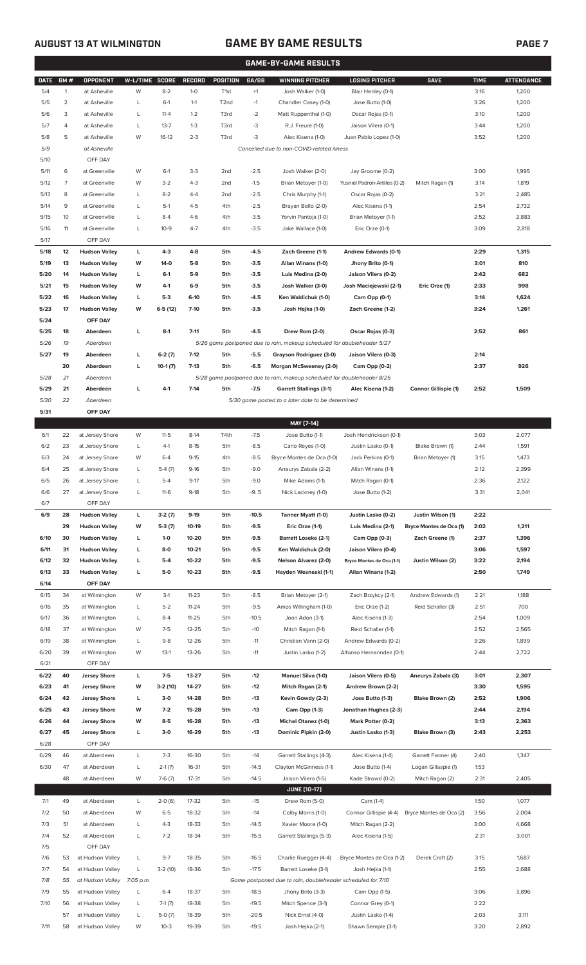# **AUGUST 13 AT WILMINGTON GAME BY GAME RESULTS PAGE 7**

|              |              |                                      |                |                      |                    |                        |                  | <b>GAME-BY-GAME RESULTS</b>                                                         |                                        |                                              |              |                   |
|--------------|--------------|--------------------------------------|----------------|----------------------|--------------------|------------------------|------------------|-------------------------------------------------------------------------------------|----------------------------------------|----------------------------------------------|--------------|-------------------|
| <b>DATE</b>  | GM#          | OPPONENT                             | W-L/TIME       | <b>SCORE</b>         | RECORD             | POSITION               | GA/GB            | <b>WINNING PITCHER</b>                                                              | <b>LOSING PITCHER</b>                  | <b>SAVE</b>                                  | <b>TIME</b>  | <b>ATTENDANCE</b> |
| 5/4          | $\mathbf{1}$ | at Asheville                         | W              | $8 - 2$              | $1 - 0$            | T <sub>1st</sub>       | $+1$             | Josh Walker (1-0)                                                                   | Blair Henley (0-1)                     |                                              | 3:16         | 1,200             |
| 5/5          | 2            | at Asheville                         | L              | $6-1$                | $1 - 1$            | T2nd                   | $-1$             | Chandler Casey (1-0)                                                                | Jose Butto (1-0)                       |                                              | 3:26         | 1,200             |
| 5/6          | 3            | at Asheville                         | L              | $11 - 4$             | $1 - 2$            | T3rd                   | $-2$             | Matt Ruppenthal (1-0)                                                               | Oscar Rojas (0-1)                      |                                              | 3:10         | 1,200             |
| 5/7          | 4            | at Asheville                         | L              | $13 - 7$             | $1 - 3$            | T3rd                   | $-3$             | R.J. Freure (1-0)                                                                   | Jaison Vilera (0-1)                    |                                              | 3:44         | 1,200             |
| 5/8          | 5            | at Asheville                         | W              | $16-12$              | $2 - 3$            | T3rd                   | $-3$             | Alec Kisena (1-0)                                                                   | Juan Pablo Lopez (1-0)                 |                                              | 3:52         | 1,200             |
| 5/9          |              | at Asheville                         |                |                      |                    |                        |                  | Cancelled due to non-COVID-related illness                                          |                                        |                                              |              |                   |
| 5/10         |              | OFF DAY                              |                |                      |                    |                        |                  |                                                                                     |                                        |                                              |              |                   |
| 5/11         | 6            | at Greenville                        | W              | $6-1$                | $3-3$              | 2nd                    | $-2.5$           | Josh Walker (2-0)                                                                   | Jay Groome (0-2)                       |                                              | 3:00         | 1,995             |
| 5/12         | 7            | at Greenville<br>at Greenville       | W<br>L         | $3 - 2$<br>$8 - 2$   | $4 - 3$<br>$4 - 4$ | 2 <sub>nd</sub><br>2nd | $-1.5$           | Brian Metoyer (1-0)                                                                 | Yusniel Padron-Artilles (0-2)          | Mitch Ragan (1)                              | 3:14<br>3:21 | 1,819             |
| 5/13<br>5/14 | 8<br>9       | at Greenville                        | L              | $5-1$                | $4 - 5$            | 4th                    | $-2.5$<br>$-2.5$ | Chris Murphy (1-1)<br>Brayan Bello (2-0)                                            | Oscar Rojas (0-2)<br>Alec Kisena (1-1) |                                              | 2:54         | 2,485<br>2,732    |
| 5/15         | 10           | at Greenville                        | L              | $8 - 4$              | $4-6$              | 4th                    | $-3.5$           | Yorvin Pantoja (1-0)                                                                | Brian Metoyer (1-1)                    |                                              | 2:52         | 2,883             |
| 5/16         | 11           | at Greenville                        | L              | $10-9$               | $4 - 7$            | 4th                    | $-3.5$           | Jake Wallace (1-0)                                                                  | Eric Orze (0-1)                        |                                              | 3:09         | 2,818             |
| 5/17         |              | OFF DAY                              |                |                      |                    |                        |                  |                                                                                     |                                        |                                              |              |                   |
| 5/18         | 12           | <b>Hudson Valley</b>                 | L              | $4 - 3$              | $4 - 8$            | 5th                    | $-4.5$           | Zach Greene (1-1)                                                                   | Andrew Edwards (0-1)                   |                                              | 2:29         | 1,315             |
| 5/19         | 13           | <b>Hudson Valley</b>                 | W              | $14-0$               | $5-8$              | 5th                    | $-3.5$           | Allan Winans (1-0)                                                                  | Jhony Brito (0-1)                      |                                              | 3:01         | 810               |
| 5/20         | 14           | <b>Hudson Valley</b>                 | L              | $6-1$                | $5-9$              | 5th                    | $-3.5$           | Luis Medina (2-0)                                                                   | Jaison Vilera (0-2)                    |                                              | 2:42         | 682               |
| 5/21         | 15           | <b>Hudson Valley</b>                 | w              | 4-1                  | $6-9$              | 5th                    | $-3.5$           | Josh Walker (3-0)                                                                   | Josh Maciejewski (2-1)                 | Eric Orze (1)                                | 2:33         | 998               |
| 5/22         | 16           | <b>Hudson Valley</b>                 | L              | $5-3$                | $6-10$             | 5th                    | $-4.5$           | Ken Waldichuk (1-0)                                                                 | Cam Opp (0-1)                          |                                              | 3:14         | 1,624             |
| 5/23         | 17           | <b>Hudson Valley</b>                 | W              | $6-5(12)$            | 7-10               | 5th                    | $-3.5$           | Josh Hejka (1-0)                                                                    | Zach Greene (1-2)                      |                                              | 3:24         | 1,261             |
| 5/24         |              | OFF DAY                              |                |                      |                    |                        |                  |                                                                                     |                                        |                                              |              |                   |
| 5/25         | 18           | Aberdeen                             | L              | $8-1$                | $7 - 11$           | 5th                    | $-4.5$           | Drew Rom (2-0)                                                                      | Oscar Rojas (0-3)                      |                                              | 2:52         | 861               |
| 5/26         | 19           | Aberdeen                             |                |                      |                    |                        |                  | 5/26 game postponed due to rain, makeup scheduled for doubleheader 5/27             |                                        |                                              |              |                   |
| 5/27         | 19           | Aberdeen                             | L              | $6-2(7)$             | $7-12$             | 5th                    | $-5.5$           | Grayson Rodriguez (3-0)                                                             | Jaison Vilera (0-3)                    |                                              | 2:14         |                   |
|              | 20           | Aberdeen                             | L              | $10-1(7)$            | $7-13$             | 5th                    | $-6.5$           | Morgan McSweeney (2-0)                                                              | Cam Opp (0-2)                          |                                              | 2:37         | 926               |
| 5/28         | 21           | Aberdeen                             |                |                      |                    |                        |                  | 5/28 game postponed due to rain, makeup scheduled for doubleheader 8/25             |                                        |                                              |              |                   |
| 5/29         | 21           | Aberdeen                             | L              | $4-1$                | $7-14$             | 5th                    | $-7.5$           | <b>Garrett Stallings (3-1)</b>                                                      | Alec Kisena (1-2)                      | Connor Gillispie (1)                         | 2:52         | 1,509             |
| 5/30         | 22           | Aberdeen                             |                |                      |                    |                        |                  | 5/30 game posted to a later date to be determined                                   |                                        |                                              |              |                   |
| 5/31         |              | OFF DAY                              |                |                      |                    |                        |                  |                                                                                     |                                        |                                              |              |                   |
|              |              |                                      |                |                      |                    |                        |                  | MAY [7-14]                                                                          |                                        |                                              |              |                   |
| 6/1          | 22           | at Jersey Shore                      | W              | $11-5$               | $8-14$             | T4th                   | $-7.5$           | Jose Butto (1-1)                                                                    | Josh Hendrickson (0-1)                 |                                              | 3:03         | 2,077             |
| 6/2          | 23           | at Jersey Shore                      | L              | $4-1$                | $8-15$             | 5th                    | $-8.5$           | Carlo Reyes (1-0)                                                                   | Justin Lasko (0-1)                     | Blake Brown (1)                              | 2:44         | 1,591             |
| 6/3          | 24           | at Jersey Shore                      | W              | $6 - 4$              | $9 - 15$           | 4th                    | $-8.5$           | Bryce Montes de Oca (1-0)                                                           | Jack Perkins (0-1)                     | Brian Metoyer (1)                            | 3:15         | 1,473             |
| 6/4          | 25           | at Jersey Shore                      | L              | $5-4(7)$             | $9-16$             | 5th                    | $-9.0$           | Aneurys Zabala (2-2)                                                                | Allan Winans (1-1)                     |                                              | 2:12         | 2,399             |
| 6/5          | 26           | at Jersey Shore                      | L              | $5-4$                | $9-17$             | 5th                    | $-9.0$           | Mike Adams (1-1)                                                                    | Mitch Ragan (0-1)                      |                                              | 2:36         | 2,122             |
| 6/6          | 27           | at Jersey Shore                      |                | $11-6$               | $9-18$             | 5th                    | $-9.5$           | Nick Lackney (1-0)                                                                  | Jose Butto (1-2)                       |                                              | 3:31         | 2,041             |
| 6/7<br>6/9   | 28           | OFF DAY<br><b>Hudson Valley</b>      | L              |                      | $9-19$             |                        | $-10.5$          |                                                                                     | Justin Lasko (0-2)                     |                                              | 2:22         |                   |
|              | 29           | <b>Hudson Valley</b>                 | W              | $3-2(7)$<br>$5-3(7)$ | 10-19              | 5th<br>5th             | $-9.5$           | Tanner Myatt (1-0)<br>Eric Orze (1-1)                                               | Luis Medina (2-1)                      | Justin Wilson (1)<br>Bryce Montes de Oca (1) | 2:02         | 1,211             |
| 6/10         | 30           | <b>Hudson Valley</b>                 | L              | $1 - 0$              | 10-20              | 5th                    | $-9.5$           | Barrett Loseke (2-1)                                                                | Cam Opp (0-3)                          | Zach Greene (1)                              | 2:37         | 1,396             |
| 6/11         | 31           | <b>Hudson Valley</b>                 | L              | $8-0$                | $10 - 21$          | 5th                    | $-9.5$           | Ken Waldichuk (2-0)                                                                 | Jaison Vilera (0-4)                    |                                              | 3:06         | 1,597             |
| 6/12         | 32           | <b>Hudson Valley</b>                 | L              | $5-4$                | 10-22              | 5th                    | $-9.5$           | Nelson Alvarez (2-0)                                                                | Bryce Montes de Oca (1-1)              | Justin Wilson (2)                            | 3:22         | 2,194             |
| 6/13         | 33           | <b>Hudson Valley</b>                 | L              | $5-0$                | $10 - 23$          | 5th                    | $-9.5$           | Hayden Wesneski (1-1)                                                               | Allan Winans (1-2)                     |                                              | 2:50         | 1,749             |
| 6/14         |              | OFF DAY                              |                |                      |                    |                        |                  |                                                                                     |                                        |                                              |              |                   |
| 6/15         | 34           | at Wilmington                        | W              | $3-1$                | $11 - 23$          | 5th                    | $-8.5$           | Brian Metoyer (2-1)                                                                 | Zach Brzykcy (2-1)                     | Andrew Edwards (1)                           | 2:21         | 1,188             |
| 6/16         | 35           | at Wilmington                        | L              | $5 - 2$              | $11 - 24$          | 5th                    | $-9.5$           | Amos Willingham (1-0)                                                               | Eric Orze (1-2)                        | Reid Schaller (3)                            | 2:51         | 700               |
| 6/17         | 36           | at Wilmington                        | L              | $8 - 4$              | $11 - 25$          | 5th                    | $-10.5$          | Joan Adon (3-1)                                                                     | Alec Kisena (1-3)                      |                                              | 2:54         | 1,009             |
| 6/18         | 37           | at Wilmington                        | W              | $7-5$                | 12-25              | 5th                    | $-10$            | Mitch Ragan (1-1)                                                                   | Reid Schaller (1-1)                    |                                              | 2:52         | 2,565             |
| 6/19         | 38           | at Wilmington                        | L              | $9 - 8$              | 12-26              | 5th                    | $-11$            | Christian Vann (2-0)                                                                | Andrew Edwards (0-2)                   |                                              | 3:26         | 1,899             |
| 6/20         | 39           | at Wilmington                        | W              | $13-1$               | 13-26              | 5th                    | $-11$            | Justin Lasko (1-2)                                                                  | Alfonso Hernanndez (0-1)               |                                              | 2:44         | 2,722             |
| 6/21         |              | OFF DAY                              |                |                      |                    |                        |                  |                                                                                     |                                        |                                              |              |                   |
| 6/22         | 40           | <b>Jersey Shore</b>                  | L              | $7-5$                | 13-27              | 5th                    | $-12$            | <b>Manuel Silva (1-0)</b>                                                           | Jaison Vilera (0-5)                    | Aneurys Zabala (3)                           | 3:01         | 2,307             |
| 6/23         | 41           | <b>Jersey Shore</b>                  | W              | 3-2 (10)             | 14-27              | 5th                    | $-12$            | Mitch Ragan (2-1)                                                                   | Andrew Brown (2-2)                     |                                              | 3:30         | 1,595             |
| 6/24         | 42           | <b>Jersey Shore</b>                  | L              | $3-0$                | 14-28              | 5th                    | $-13$            | Kevin Gowdy (2-3)                                                                   | Jose Butto (1-3)                       | Blake Brown (2)                              | 2:52         | 1,906             |
| 6/25         | 43           | <b>Jersey Shore</b>                  | W              | $7-2$                | 15-28              | 5th                    | $-13$            | Cam Opp (1-3)                                                                       | Jonathan Hughes (2-3)                  |                                              | 2:44         | 2,194             |
| 6/26         | 44           | <b>Jersey Shore</b>                  | W              | $8 - 5$              | 16-28              | 5th                    | $-13$            | <b>Michel Otanez (1-0)</b>                                                          | Mark Potter (0-2)                      |                                              | 3:13         | 2,363             |
| 6/27         | 45           | <b>Jersey Shore</b>                  | L              | $3-0$                | 16-29              | 5th                    | $-13$            | Dominic Pipkin (2-0)                                                                | Justin Lasko (1-3)                     | Blake Brown (3)                              | 2:43         | 2,253             |
| 6/28         |              | OFF DAY                              |                |                      |                    |                        |                  |                                                                                     |                                        |                                              |              |                   |
| 6/29         | 46           | at Aberdeen                          | L              | $7-3$                | 16-30              | 5th                    | $-14$            | Garrett Stallings (4-3)                                                             | Alec Kisena (1-4)                      | Garrett Farmer (4)                           | 2:40         | 1,347             |
| 6/30         | 47           | at Aberdeen                          | L              | $2-1(7)$             | 16-31              | 5th                    | $-14.5$          | Clayton McGinness (1-1)                                                             | Jose Butto (1-4)                       | Logan Gillaspie (1)                          | 1:53         |                   |
|              | 48           | at Aberdeen                          | W              | $7-6(7)$             | 17-31              | 5th                    | $-14.5$          | Jaison Vilera (1-5)                                                                 | Kade Strowd (0-2)                      | Mitch Ragan (2)                              | 2:31         | 2,405             |
|              |              |                                      |                |                      |                    |                        |                  | <b>JUNE (10-17)</b>                                                                 |                                        |                                              |              |                   |
| 7/1          | 49           | at Aberdeen                          | L              | $2-0(6)$             | 17-32              | 5th                    | $-15$            | Drew Rom (5-0)                                                                      | Cam (1-4)                              |                                              | 1:50         | 1,077             |
| 7/2          | 50           | at Aberdeen                          | W              | $6 - 5$              | 18-32              | 5th                    | $-14$            | Colby Morris (1-0)                                                                  | Connor Gillispie (4-4)                 | Bryce Montes de Oca (2)                      | 3:56         | 2,004             |
| 7/3          | 51           | at Aberdeen                          | L              | $4 - 3$              | 18-33              | 5th                    | $-14.5$          | Xavier Moore (1-0)                                                                  | Mitch Ragan (2-2)                      |                                              | 3:00         | 4,668             |
| 7/4          | 52           | at Aberdeen                          | L              | $7 - 2$              | 18-34              | 5th                    | $-15.5$          | Garrett Stallings (5-3)                                                             | Alec Kisena (1-5)                      |                                              | 2:31         | 3,001             |
| 7/5          |              | OFF DAY                              |                |                      |                    |                        |                  |                                                                                     |                                        |                                              |              |                   |
| 7/6          | 53           | at Hudson Valley                     | L              | $9 - 7$              | 18-35              | 5th                    | $-16.5$          | Charlie Ruegger (4-4)                                                               | Bryce Montes de Oca (1-2)              | Derek Craft (2)                              | 3:15         | 1,687             |
| 7/7<br>7/8   | 54<br>55     | at Hudson Valley<br>at Hudson Valley | L<br>7:05 p.m. | $3-2(10)$            | 18-36              | 5th                    | $-17.5$          | Barrett Loseke (3-1)<br>Game postponed due to rain, doubleheader scheduled for 7/10 | Josh Hejka (1-1)                       |                                              | 2:55         | 2,688             |
| 7/9          | 55           | at Hudson Valley                     | L              | $6 - 4$              | 18-37              | 5th                    | $-18.5$          | Jhony Brito (3-3)                                                                   | Cam Opp (1-5)                          |                                              | 3:06         | 3,896             |
| 7/10         | 56           | at Hudson Valley                     | L              | $7-1(7)$             | 18-38              | 5th                    | $-19.5$          | Mitch Spence (3-1)                                                                  | Connor Grey (0-1)                      |                                              | 2:22         |                   |
|              | 57           | at Hudson Valley                     | L              | $5-0(7)$             | 18-39              | 5th                    | $-20.5$          | Nick Ernst (4-0)                                                                    | Justin Lasko (1-4)                     |                                              | 2:03         | 3,111             |
| 7/11         | 58           | at Hudson Valley                     | W              | $10-3$               | 19-39              | 5th                    | $-19.5$          | Josh Hejka (2-1)                                                                    | Shawn Semple (3-1)                     |                                              | 3:20         | 2,892             |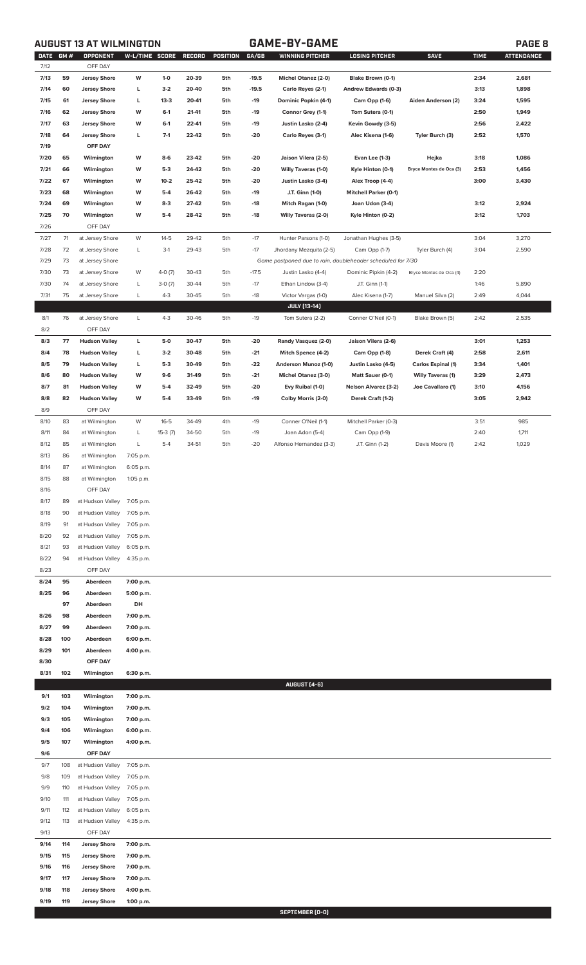**AUGUST 13 AT WILMINGTON GAME-BY-GAME PAGE 8**

| <b>DATE</b>  | GM#        | <b>OPPONENT</b>                            | <b>W-L/TIME SCORE</b>  |           | RECORD | POSITION | GA/GB   | <b>WINNING PITCHER</b>                                      | <b>LOSING PITCHER</b>        | <b>SAVE</b>              | <b>TIME</b> | <b>ATTENDANCE</b> |
|--------------|------------|--------------------------------------------|------------------------|-----------|--------|----------|---------|-------------------------------------------------------------|------------------------------|--------------------------|-------------|-------------------|
| 7/12         |            | OFF DAY                                    |                        |           |        |          |         |                                                             |                              |                          |             |                   |
| 7/13         | 59         | <b>Jersey Shore</b>                        | W                      | $1-0$     | 20-39  | 5th      | $-19.5$ | Michel Otanez (2-0)                                         | Blake Brown (0-1)            |                          | 2:34        | 2,681             |
| 7/14         | 60         | <b>Jersey Shore</b>                        | г                      | $3-2$     | 20-40  | 5th      | $-19.5$ | Carlo Reyes (2-1)                                           | Andrew Edwards (0-3)         |                          | 3:13        | 1,898             |
| 7/15         | 61         | <b>Jersey Shore</b>                        | г                      | $13-3$    | 20-41  | 5th      | $-19$   | Dominic Popkin (4-1)                                        | Cam Opp (1-6)                | Aiden Anderson (2)       | 3:24        | 1,595             |
| 7/16         | 62         | <b>Jersey Shore</b>                        | W                      | $6-1$     | 21-41  | 5th      | $-19$   | Connor Grey (1-1)                                           | Tom Sutera (0-1)             |                          | 2:50        | 1,949             |
| 7/17         | 63         | <b>Jersey Shore</b>                        | W                      | $6-1$     | 22-41  | 5th      | $-19$   | Justin Lasko (2-4)                                          | Kevin Gowdy (3-5)            |                          | 2:56        | 2,422             |
| 7/18         | 64         | <b>Jersey Shore</b>                        | L                      | $7-1$     | 22-42  | 5th      | $-20$   | Carlo Reyes (3-1)                                           | Alec Kisena (1-6)            | Tyler Burch (3)          | 2:52        | 1,570             |
| 7/19         |            | OFF DAY                                    |                        |           |        |          |         |                                                             |                              |                          |             |                   |
| 7/20         | 65         | Wilmington                                 | W                      | 8-6       | 23-42  | 5th      | -20     | Jaison Vilera (2-5)                                         | Evan Lee (1-3)               | Hejka                    | 3:18        | 1,086             |
| 7/21         | 66         | Wilmington                                 | W                      | $5-3$     | 24-42  | 5th      | $-20$   | <b>Willy Taveras (1-0)</b>                                  | Kyle Hinton (0-1)            | Bryce Montes de Oca (3)  | 2:53        | 1,456             |
| 7/22         | 67         | Wilmington                                 | W                      | $10-2$    | 25-42  | 5th      | $-20$   | Justin Lasko (3-4)                                          | Alex Troop (4-4)             |                          | 3:00        | 3,430             |
| 7/23         | 68         | Wilmington                                 | W                      | $5-4$     | 26-42  | 5th      | -19     | J.T. Ginn (1-0)                                             | <b>Mitchell Parker (0-1)</b> |                          |             |                   |
| 7/24         | 69         | Wilmington                                 | W                      | $8 - 3$   | 27-42  | 5th      | $-18$   | Mitch Ragan (1-0)                                           | Joan Udon (3-4)              |                          | 3:12        | 2,924             |
| 7/25         | 70         | Wilmington                                 | W                      | $5-4$     | 28-42  | 5th      | $-18$   | <b>Willy Taveras (2-0)</b>                                  | Kyle Hinton (0-2)            |                          | 3:12        | 1,703             |
| 7/26         |            | OFF DAY                                    |                        |           |        |          |         |                                                             |                              |                          |             |                   |
| 7/27         | 71         | at Jersey Shore                            | W                      | $14 - 5$  | 29-42  | 5th      | $-17$   | Hunter Parsons (1-0)                                        | Jonathan Hughes (3-5)        |                          | 3:04        | 3,270             |
| 7/28         | 72         | at Jersey Shore                            | L                      | $3-1$     | 29-43  | 5th      | $-17$   | Jhordany Mezquita (2-5)                                     | Cam Opp (1-7)                | Tyler Burch (4)          | 3:04        | 2,590             |
| 7/29         | 73         | at Jersey Shore                            |                        |           |        |          |         | Game postponed due to rain, doubleheader scheduled for 7/30 |                              |                          |             |                   |
| 7/30         | 73         | at Jersey Shore                            | W                      | $4-0(7)$  | 30-43  | 5th      | $-17.5$ | Justin Lasko (4-4)                                          | Dominic Pipkin (4-2)         | Bryce Montes de Oca (4)  | 2:20        |                   |
| 7/30         | 74         | at Jersey Shore                            | L                      | $3-0(7)$  | 30-44  | 5th      | $-17$   | Ethan Lindow (3-4)                                          | J.T. Ginn (1-1)              |                          | 1:46        | 5,890             |
| 7/31         | 75         | at Jersey Shore                            | L                      | $4 - 3$   | 30-45  | 5th      | $-18$   | Victor Vargas (1-0)                                         | Alec Kisena (1-7)            | Manuel Silva (2)         | 2:49        | 4,044             |
|              |            |                                            |                        |           |        |          |         | <b>JULY [13-14]</b>                                         |                              |                          |             |                   |
| 8/1          | 76         | at Jersey Shore                            | L                      | $4 - 3$   | 30-46  | 5th      | $-19$   | Tom Sutera (2-2)                                            | Conner O'Neil (0-1)          | Blake Brown (5)          | 2:42        | 2,535             |
| 8/2          |            | OFF DAY                                    |                        |           |        |          |         |                                                             |                              |                          |             |                   |
| 8/3          | 77         | <b>Hudson Valley</b>                       | г                      | $5-0$     | 30-47  | 5th      | $-20$   | Randy Vasquez (2-0)                                         | Jaison Vilera (2-6)          |                          | 3:01        | 1,253             |
| 8/4          | 78         | <b>Hudson Valley</b>                       | L                      | $3-2$     | 30-48  | 5th      | $-21$   | Mitch Spence (4-2)                                          | <b>Cam Opp (1-8)</b>         | Derek Craft (4)          | 2:58        | 2,611             |
| 8/5          | 79         | <b>Hudson Valley</b>                       | г                      | $5-3$     | 30-49  | 5th      | $-22$   | Anderson Munoz (1-0)                                        | Justin Lasko (4-5)           | Carlos Espinal (1)       | 3:34        | 1,401             |
| 8/6          | 80         | <b>Hudson Valley</b>                       | W                      | $9-6$     | 31-49  | 5th      | $-21$   | Michel Otanez (3-0)                                         | Matt Sauer (0-1)             | <b>Willy Taveras (1)</b> | 3:29        | 2,473             |
| 8/7          | 81         | <b>Hudson Valley</b>                       | W                      | $5 - 4$   | 32-49  | 5th      | $-20$   | Evy Ruibal (1-0)                                            | <b>Nelson Alvarez (3-2)</b>  | Joe Cavallaro (1)        | 3:10        | 4,156             |
| 8/8          | 82         | <b>Hudson Valley</b>                       | W                      | $5-4$     | 33-49  | 5th      | $-19$   | Colby Morris (2-0)                                          | Derek Craft (1-2)            |                          | 3:05        | 2,942             |
| 8/9          |            | OFF DAY                                    |                        |           |        |          |         |                                                             |                              |                          |             |                   |
| 8/10         | 83         | at Wilmington                              | W                      | $16 - 5$  | 34-49  | 4th      | $-19$   | Conner O'Neil (1-1)                                         | Mitchell Parker (0-3)        |                          | 3:51        | 985               |
| 8/11         | 84         | at Wilmington                              | L                      | $15-3(7)$ | 34-50  | 5th      | $-19$   | Joan Adon (5-4)                                             | Cam Opp (1-9)                |                          | 2:40        | 1,711             |
| 8/12         | 85         | at Wilmington                              | L                      | $5 - 4$   | 34-51  | 5th      | $-20$   | Alfonso Hernandez (3-3)                                     | J.T. Ginn (1-2)              | Davis Moore (1)          | 2:42        | 1,029             |
| 8/13         | 86         | at Wilmington                              | 7:05 p.m.              |           |        |          |         |                                                             |                              |                          |             |                   |
| 8/14         | 87         | at Wilmington                              | 6:05 p.m.              |           |        |          |         |                                                             |                              |                          |             |                   |
| 8/15         | 88         | at Wilmington                              | 1:05 p.m.              |           |        |          |         |                                                             |                              |                          |             |                   |
| 8/16         |            | OFF DAY                                    |                        |           |        |          |         |                                                             |                              |                          |             |                   |
| 8/17         | 89         | at Hudson Valley 7:05 p.m.                 |                        |           |        |          |         |                                                             |                              |                          |             |                   |
| 8/18         | 90         | at Hudson Valley                           | 7:05 p.m.              |           |        |          |         |                                                             |                              |                          |             |                   |
| 8/19         | 91         | at Hudson Valley                           | 7:05 p.m.              |           |        |          |         |                                                             |                              |                          |             |                   |
| 8/20         | 92         | at Hudson Valley                           | 7:05 p.m.              |           |        |          |         |                                                             |                              |                          |             |                   |
| 8/21         | 93         | at Hudson Valley                           | 6:05 p.m.              |           |        |          |         |                                                             |                              |                          |             |                   |
| 8/22         | 94         | at Hudson Valley                           | 4:35 p.m.              |           |        |          |         |                                                             |                              |                          |             |                   |
| 8/23         |            | OFF DAY                                    |                        |           |        |          |         |                                                             |                              |                          |             |                   |
| 8/24         | 95         | Aberdeen                                   | 7:00 p.m.              |           |        |          |         |                                                             |                              |                          |             |                   |
| 8/25         | 96         | Aberdeen                                   | 5:00 p.m.              |           |        |          |         |                                                             |                              |                          |             |                   |
|              | 97         | Aberdeen                                   | DH                     |           |        |          |         |                                                             |                              |                          |             |                   |
| 8/26         | 98         | Aberdeen                                   | 7:00 p.m.              |           |        |          |         |                                                             |                              |                          |             |                   |
| 8/27         | 99         | Aberdeen                                   | 7:00 p.m.              |           |        |          |         |                                                             |                              |                          |             |                   |
| 8/28         | 100        | Aberdeen                                   | 6:00 p.m.              |           |        |          |         |                                                             |                              |                          |             |                   |
| 8/29         | 101        | Aberdeen                                   | 4:00 p.m.              |           |        |          |         |                                                             |                              |                          |             |                   |
| 8/30         |            | OFF DAY                                    |                        |           |        |          |         |                                                             |                              |                          |             |                   |
| 8/31         | 102        | Wilmington                                 | 6:30 p.m.              |           |        |          |         |                                                             |                              |                          |             |                   |
|              |            |                                            |                        |           |        |          |         | AUGUST [4-6]                                                |                              |                          |             |                   |
| 9/1          | 103        | Wilmington                                 | 7:00 p.m.              |           |        |          |         |                                                             |                              |                          |             |                   |
| 9/2          | 104        | Wilmington                                 | 7:00 p.m.              |           |        |          |         |                                                             |                              |                          |             |                   |
| 9/3          | 105        | Wilmington                                 | 7:00 p.m.              |           |        |          |         |                                                             |                              |                          |             |                   |
| 9/4          | 106        | Wilmington                                 | 6:00 p.m.              |           |        |          |         |                                                             |                              |                          |             |                   |
| 9/5          | 107        | Wilmington                                 | 4:00 p.m.              |           |        |          |         |                                                             |                              |                          |             |                   |
| 9/6          |            | OFF DAY                                    |                        |           |        |          |         |                                                             |                              |                          |             |                   |
| 9/7          | 108        | at Hudson Valley                           | 7:05 p.m.              |           |        |          |         |                                                             |                              |                          |             |                   |
| 9/8          | 109        | at Hudson Valley                           | 7:05 p.m.              |           |        |          |         |                                                             |                              |                          |             |                   |
| 9/9          | 110        | at Hudson Valley                           | 7:05 p.m.              |           |        |          |         |                                                             |                              |                          |             |                   |
| 9/10         | 111        | at Hudson Valley                           | 7:05 p.m.              |           |        |          |         |                                                             |                              |                          |             |                   |
| 9/11<br>9/12 | 112<br>113 | at Hudson Valley                           | 6:05 p.m.              |           |        |          |         |                                                             |                              |                          |             |                   |
| 9/13         |            | at Hudson Valley<br>OFF DAY                | 4:35 p.m.              |           |        |          |         |                                                             |                              |                          |             |                   |
| 9/14         | 114        |                                            |                        |           |        |          |         |                                                             |                              |                          |             |                   |
| 9/15         |            | <b>Jersey Shore</b>                        | 7:00 p.m.              |           |        |          |         |                                                             |                              |                          |             |                   |
| 9/16         | 115        | <b>Jersey Shore</b>                        | 7:00 p.m.              |           |        |          |         |                                                             |                              |                          |             |                   |
| 9/17         | 116        | <b>Jersey Shore</b><br><b>Jersey Shore</b> | 7:00 p.m.              |           |        |          |         |                                                             |                              |                          |             |                   |
| 9/18         | 117<br>118 |                                            | 7:00 p.m.              |           |        |          |         |                                                             |                              |                          |             |                   |
| 9/19         | 119        | <b>Jersey Shore</b><br><b>Jersey Shore</b> | 4:00 p.m.<br>1:00 p.m. |           |        |          |         |                                                             |                              |                          |             |                   |
|              |            |                                            |                        |           |        |          |         | SEPTEMBER (0-0)                                             |                              |                          |             |                   |